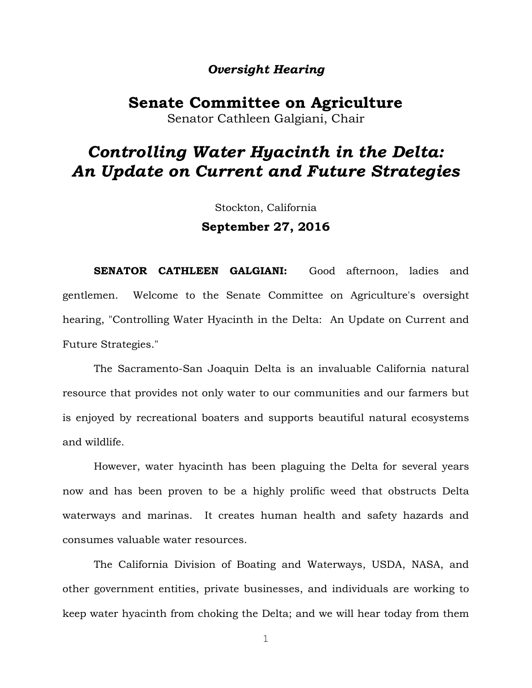# *Oversight Hearing*

**Senate Committee on Agriculture** Senator Cathleen Galgiani, Chair

# *Controlling Water Hyacinth in the Delta: An Update on Current and Future Strategies*

Stockton, California **September 27, 2016**

**SENATOR CATHLEEN GALGIANI:** Good afternoon, ladies and gentlemen. Welcome to the Senate Committee on Agriculture's oversight hearing, "Controlling Water Hyacinth in the Delta: An Update on Current and Future Strategies."

The Sacramento-San Joaquin Delta is an invaluable California natural resource that provides not only water to our communities and our farmers but is enjoyed by recreational boaters and supports beautiful natural ecosystems and wildlife.

However, water hyacinth has been plaguing the Delta for several years now and has been proven to be a highly prolific weed that obstructs Delta waterways and marinas. It creates human health and safety hazards and consumes valuable water resources.

The California Division of Boating and Waterways, USDA, NASA, and other government entities, private businesses, and individuals are working to keep water hyacinth from choking the Delta; and we will hear today from them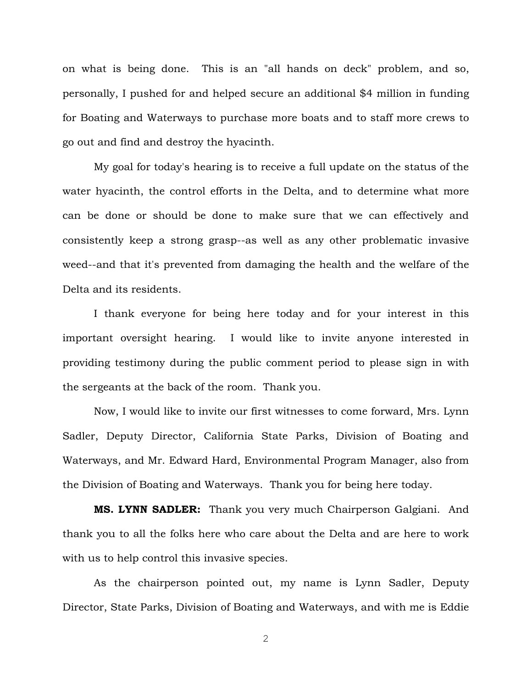on what is being done. This is an "all hands on deck" problem, and so, personally, I pushed for and helped secure an additional \$4 million in funding for Boating and Waterways to purchase more boats and to staff more crews to go out and find and destroy the hyacinth.

My goal for today's hearing is to receive a full update on the status of the water hyacinth, the control efforts in the Delta, and to determine what more can be done or should be done to make sure that we can effectively and consistently keep a strong grasp--as well as any other problematic invasive weed--and that it's prevented from damaging the health and the welfare of the Delta and its residents.

I thank everyone for being here today and for your interest in this important oversight hearing. I would like to invite anyone interested in providing testimony during the public comment period to please sign in with the sergeants at the back of the room. Thank you.

Now, I would like to invite our first witnesses to come forward, Mrs. Lynn Sadler, Deputy Director, California State Parks, Division of Boating and Waterways, and Mr. Edward Hard, Environmental Program Manager, also from the Division of Boating and Waterways. Thank you for being here today.

**MS. LYNN SADLER:** Thank you very much Chairperson Galgiani. And thank you to all the folks here who care about the Delta and are here to work with us to help control this invasive species.

As the chairperson pointed out, my name is Lynn Sadler, Deputy Director, State Parks, Division of Boating and Waterways, and with me is Eddie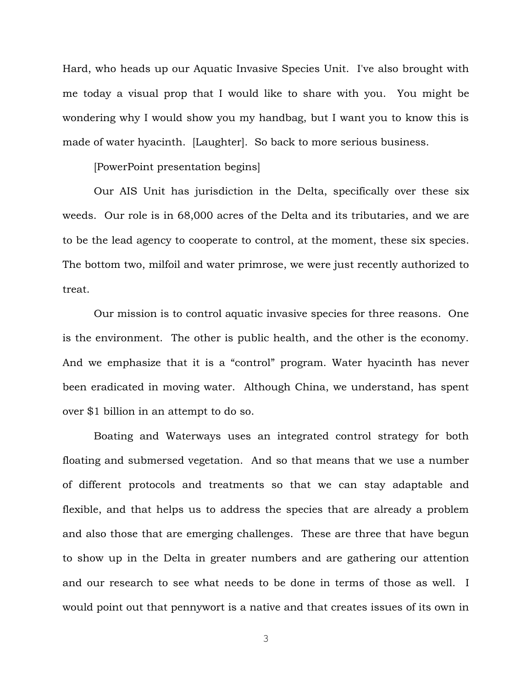Hard, who heads up our Aquatic Invasive Species Unit. I've also brought with me today a visual prop that I would like to share with you. You might be wondering why I would show you my handbag, but I want you to know this is made of water hyacinth. [Laughter]. So back to more serious business.

[PowerPoint presentation begins]

Our AIS Unit has jurisdiction in the Delta, specifically over these six weeds. Our role is in 68,000 acres of the Delta and its tributaries, and we are to be the lead agency to cooperate to control, at the moment, these six species. The bottom two, milfoil and water primrose, we were just recently authorized to treat.

Our mission is to control aquatic invasive species for three reasons. One is the environment. The other is public health, and the other is the economy. And we emphasize that it is a "control" program. Water hyacinth has never been eradicated in moving water. Although China, we understand, has spent over \$1 billion in an attempt to do so.

Boating and Waterways uses an integrated control strategy for both floating and submersed vegetation. And so that means that we use a number of different protocols and treatments so that we can stay adaptable and flexible, and that helps us to address the species that are already a problem and also those that are emerging challenges. These are three that have begun to show up in the Delta in greater numbers and are gathering our attention and our research to see what needs to be done in terms of those as well. I would point out that pennywort is a native and that creates issues of its own in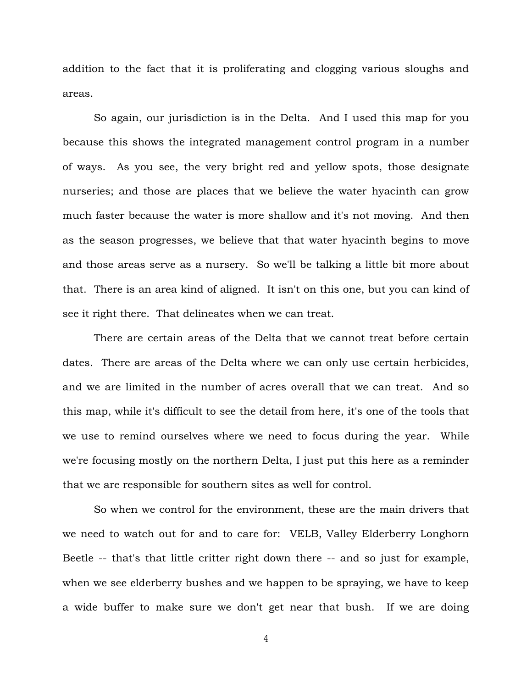addition to the fact that it is proliferating and clogging various sloughs and areas.

So again, our jurisdiction is in the Delta. And I used this map for you because this shows the integrated management control program in a number of ways. As you see, the very bright red and yellow spots, those designate nurseries; and those are places that we believe the water hyacinth can grow much faster because the water is more shallow and it's not moving. And then as the season progresses, we believe that that water hyacinth begins to move and those areas serve as a nursery. So we'll be talking a little bit more about that. There is an area kind of aligned. It isn't on this one, but you can kind of see it right there. That delineates when we can treat.

There are certain areas of the Delta that we cannot treat before certain dates. There are areas of the Delta where we can only use certain herbicides, and we are limited in the number of acres overall that we can treat. And so this map, while it's difficult to see the detail from here, it's one of the tools that we use to remind ourselves where we need to focus during the year. While we're focusing mostly on the northern Delta, I just put this here as a reminder that we are responsible for southern sites as well for control.

So when we control for the environment, these are the main drivers that we need to watch out for and to care for: VELB, Valley Elderberry Longhorn Beetle -- that's that little critter right down there -- and so just for example, when we see elderberry bushes and we happen to be spraying, we have to keep a wide buffer to make sure we don't get near that bush. If we are doing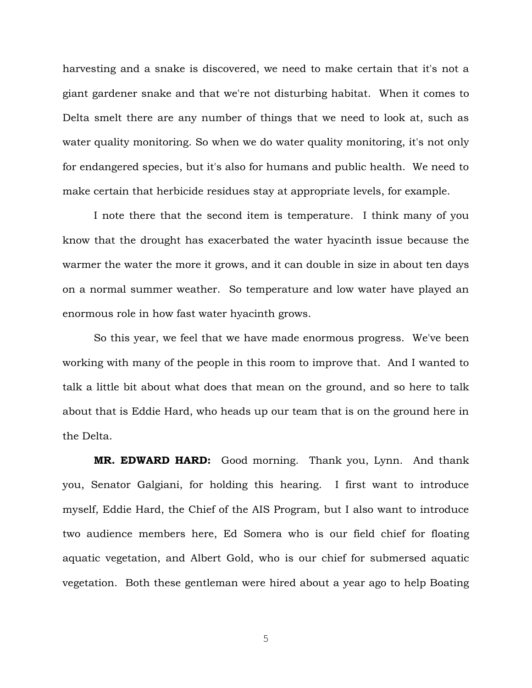harvesting and a snake is discovered, we need to make certain that it's not a giant gardener snake and that we're not disturbing habitat. When it comes to Delta smelt there are any number of things that we need to look at, such as water quality monitoring. So when we do water quality monitoring, it's not only for endangered species, but it's also for humans and public health. We need to make certain that herbicide residues stay at appropriate levels, for example.

I note there that the second item is temperature. I think many of you know that the drought has exacerbated the water hyacinth issue because the warmer the water the more it grows, and it can double in size in about ten days on a normal summer weather. So temperature and low water have played an enormous role in how fast water hyacinth grows.

So this year, we feel that we have made enormous progress. We've been working with many of the people in this room to improve that. And I wanted to talk a little bit about what does that mean on the ground, and so here to talk about that is Eddie Hard, who heads up our team that is on the ground here in the Delta.

**MR. EDWARD HARD:** Good morning. Thank you, Lynn. And thank you, Senator Galgiani, for holding this hearing. I first want to introduce myself, Eddie Hard, the Chief of the AIS Program, but I also want to introduce two audience members here, Ed Somera who is our field chief for floating aquatic vegetation, and Albert Gold, who is our chief for submersed aquatic vegetation. Both these gentleman were hired about a year ago to help Boating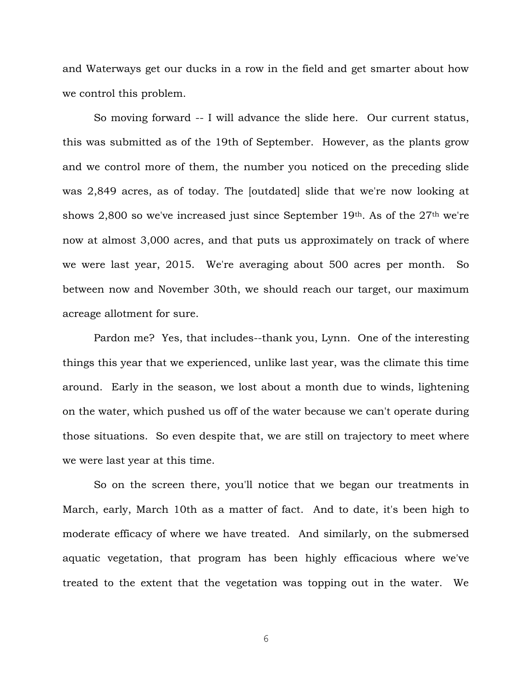and Waterways get our ducks in a row in the field and get smarter about how we control this problem.

So moving forward -- I will advance the slide here. Our current status, this was submitted as of the 19th of September. However, as the plants grow and we control more of them, the number you noticed on the preceding slide was 2,849 acres, as of today. The [outdated] slide that we're now looking at shows 2,800 so we've increased just since September 19th. As of the  $27<sup>th</sup>$  we're now at almost 3,000 acres, and that puts us approximately on track of where we were last year, 2015. We're averaging about 500 acres per month. So between now and November 30th, we should reach our target, our maximum acreage allotment for sure.

Pardon me? Yes, that includes--thank you, Lynn. One of the interesting things this year that we experienced, unlike last year, was the climate this time around. Early in the season, we lost about a month due to winds, lightening on the water, which pushed us off of the water because we can't operate during those situations. So even despite that, we are still on trajectory to meet where we were last year at this time.

So on the screen there, you'll notice that we began our treatments in March, early, March 10th as a matter of fact. And to date, it's been high to moderate efficacy of where we have treated. And similarly, on the submersed aquatic vegetation, that program has been highly efficacious where we've treated to the extent that the vegetation was topping out in the water. We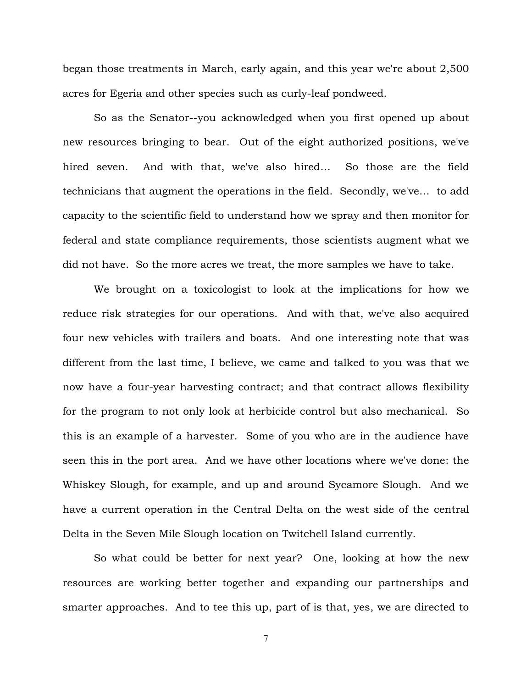began those treatments in March, early again, and this year we're about 2,500 acres for Egeria and other species such as curly-leaf pondweed.

So as the Senator--you acknowledged when you first opened up about new resources bringing to bear. Out of the eight authorized positions, we've hired seven. And with that, we've also hired… So those are the field technicians that augment the operations in the field. Secondly, we've… to add capacity to the scientific field to understand how we spray and then monitor for federal and state compliance requirements, those scientists augment what we did not have. So the more acres we treat, the more samples we have to take.

We brought on a toxicologist to look at the implications for how we reduce risk strategies for our operations. And with that, we've also acquired four new vehicles with trailers and boats. And one interesting note that was different from the last time, I believe, we came and talked to you was that we now have a four-year harvesting contract; and that contract allows flexibility for the program to not only look at herbicide control but also mechanical. So this is an example of a harvester. Some of you who are in the audience have seen this in the port area. And we have other locations where we've done: the Whiskey Slough, for example, and up and around Sycamore Slough. And we have a current operation in the Central Delta on the west side of the central Delta in the Seven Mile Slough location on Twitchell Island currently.

So what could be better for next year? One, looking at how the new resources are working better together and expanding our partnerships and smarter approaches. And to tee this up, part of is that, yes, we are directed to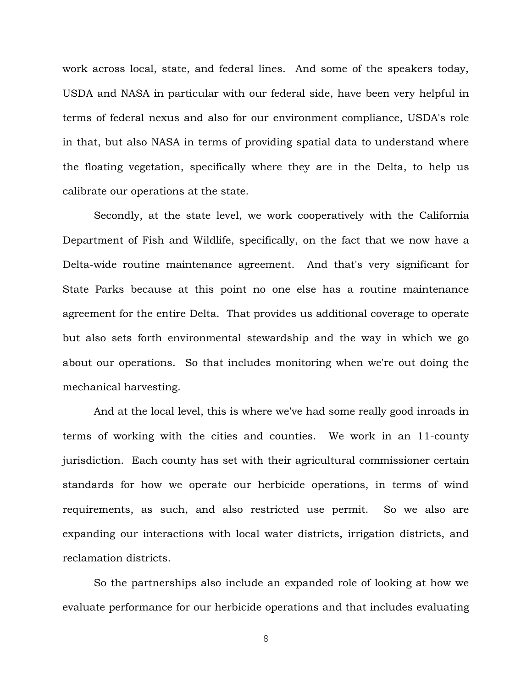work across local, state, and federal lines. And some of the speakers today, USDA and NASA in particular with our federal side, have been very helpful in terms of federal nexus and also for our environment compliance, USDA's role in that, but also NASA in terms of providing spatial data to understand where the floating vegetation, specifically where they are in the Delta, to help us calibrate our operations at the state.

Secondly, at the state level, we work cooperatively with the California Department of Fish and Wildlife, specifically, on the fact that we now have a Delta-wide routine maintenance agreement. And that's very significant for State Parks because at this point no one else has a routine maintenance agreement for the entire Delta. That provides us additional coverage to operate but also sets forth environmental stewardship and the way in which we go about our operations. So that includes monitoring when we're out doing the mechanical harvesting.

And at the local level, this is where we've had some really good inroads in terms of working with the cities and counties. We work in an 11-county jurisdiction. Each county has set with their agricultural commissioner certain standards for how we operate our herbicide operations, in terms of wind requirements, as such, and also restricted use permit. So we also are expanding our interactions with local water districts, irrigation districts, and reclamation districts.

So the partnerships also include an expanded role of looking at how we evaluate performance for our herbicide operations and that includes evaluating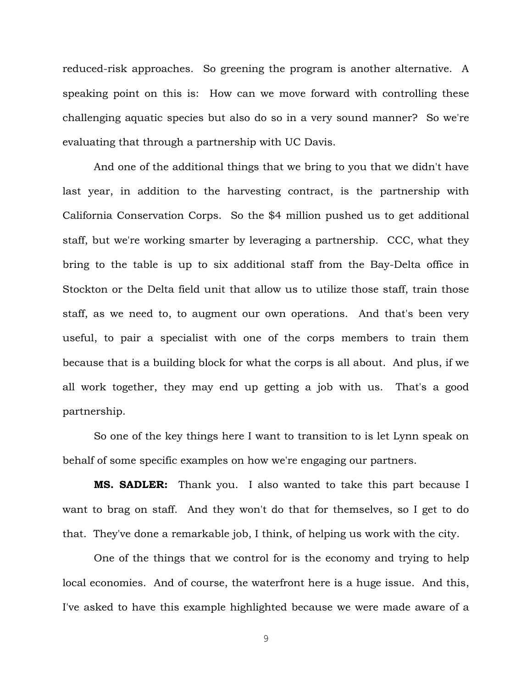reduced-risk approaches. So greening the program is another alternative. A speaking point on this is: How can we move forward with controlling these challenging aquatic species but also do so in a very sound manner? So we're evaluating that through a partnership with UC Davis.

And one of the additional things that we bring to you that we didn't have last year, in addition to the harvesting contract, is the partnership with California Conservation Corps. So the \$4 million pushed us to get additional staff, but we're working smarter by leveraging a partnership. CCC, what they bring to the table is up to six additional staff from the Bay-Delta office in Stockton or the Delta field unit that allow us to utilize those staff, train those staff, as we need to, to augment our own operations. And that's been very useful, to pair a specialist with one of the corps members to train them because that is a building block for what the corps is all about. And plus, if we all work together, they may end up getting a job with us. That's a good partnership.

So one of the key things here I want to transition to is let Lynn speak on behalf of some specific examples on how we're engaging our partners.

**MS. SADLER:** Thank you. I also wanted to take this part because I want to brag on staff. And they won't do that for themselves, so I get to do that. They've done a remarkable job, I think, of helping us work with the city.

One of the things that we control for is the economy and trying to help local economies. And of course, the waterfront here is a huge issue. And this, I've asked to have this example highlighted because we were made aware of a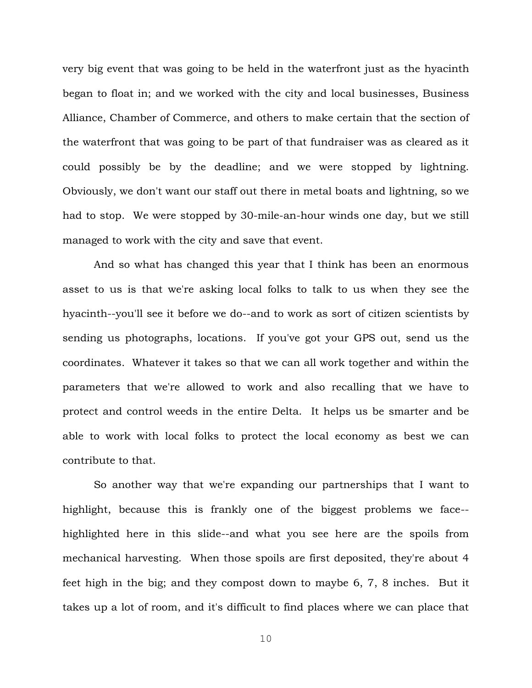very big event that was going to be held in the waterfront just as the hyacinth began to float in; and we worked with the city and local businesses, Business Alliance, Chamber of Commerce, and others to make certain that the section of the waterfront that was going to be part of that fundraiser was as cleared as it could possibly be by the deadline; and we were stopped by lightning. Obviously, we don't want our staff out there in metal boats and lightning, so we had to stop. We were stopped by 30-mile-an-hour winds one day, but we still managed to work with the city and save that event.

And so what has changed this year that I think has been an enormous asset to us is that we're asking local folks to talk to us when they see the hyacinth--you'll see it before we do--and to work as sort of citizen scientists by sending us photographs, locations. If you've got your GPS out, send us the coordinates. Whatever it takes so that we can all work together and within the parameters that we're allowed to work and also recalling that we have to protect and control weeds in the entire Delta. It helps us be smarter and be able to work with local folks to protect the local economy as best we can contribute to that.

So another way that we're expanding our partnerships that I want to highlight, because this is frankly one of the biggest problems we face- highlighted here in this slide--and what you see here are the spoils from mechanical harvesting. When those spoils are first deposited, they're about 4 feet high in the big; and they compost down to maybe 6, 7, 8 inches. But it takes up a lot of room, and it's difficult to find places where we can place that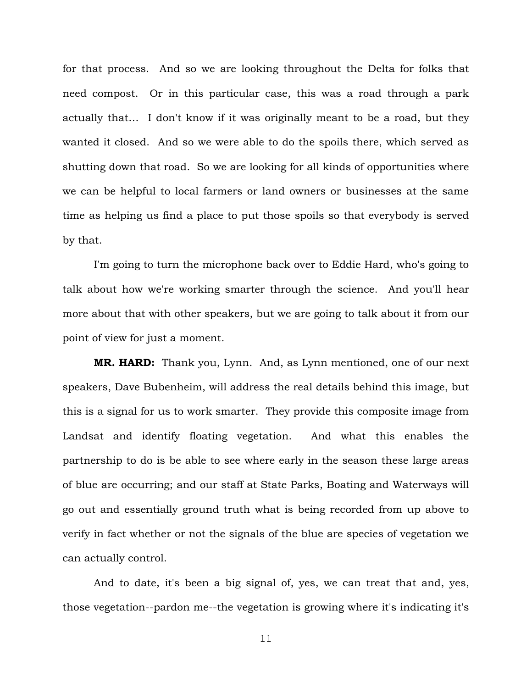for that process. And so we are looking throughout the Delta for folks that need compost. Or in this particular case, this was a road through a park actually that… I don't know if it was originally meant to be a road, but they wanted it closed. And so we were able to do the spoils there, which served as shutting down that road. So we are looking for all kinds of opportunities where we can be helpful to local farmers or land owners or businesses at the same time as helping us find a place to put those spoils so that everybody is served by that.

I'm going to turn the microphone back over to Eddie Hard, who's going to talk about how we're working smarter through the science. And you'll hear more about that with other speakers, but we are going to talk about it from our point of view for just a moment.

**MR. HARD:** Thank you, Lynn. And, as Lynn mentioned, one of our next speakers, Dave Bubenheim, will address the real details behind this image, but this is a signal for us to work smarter. They provide this composite image from Landsat and identify floating vegetation. And what this enables the partnership to do is be able to see where early in the season these large areas of blue are occurring; and our staff at State Parks, Boating and Waterways will go out and essentially ground truth what is being recorded from up above to verify in fact whether or not the signals of the blue are species of vegetation we can actually control.

And to date, it's been a big signal of, yes, we can treat that and, yes, those vegetation--pardon me--the vegetation is growing where it's indicating it's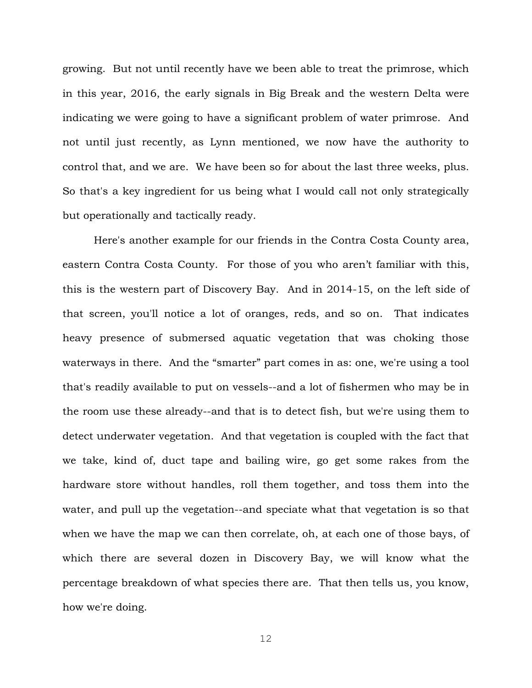growing. But not until recently have we been able to treat the primrose, which in this year, 2016, the early signals in Big Break and the western Delta were indicating we were going to have a significant problem of water primrose. And not until just recently, as Lynn mentioned, we now have the authority to control that, and we are. We have been so for about the last three weeks, plus. So that's a key ingredient for us being what I would call not only strategically but operationally and tactically ready.

Here's another example for our friends in the Contra Costa County area, eastern Contra Costa County. For those of you who aren't familiar with this, this is the western part of Discovery Bay. And in 2014-15, on the left side of that screen, you'll notice a lot of oranges, reds, and so on. That indicates heavy presence of submersed aquatic vegetation that was choking those waterways in there. And the "smarter" part comes in as: one, we're using a tool that's readily available to put on vessels--and a lot of fishermen who may be in the room use these already--and that is to detect fish, but we're using them to detect underwater vegetation. And that vegetation is coupled with the fact that we take, kind of, duct tape and bailing wire, go get some rakes from the hardware store without handles, roll them together, and toss them into the water, and pull up the vegetation--and speciate what that vegetation is so that when we have the map we can then correlate, oh, at each one of those bays, of which there are several dozen in Discovery Bay, we will know what the percentage breakdown of what species there are. That then tells us, you know, how we're doing.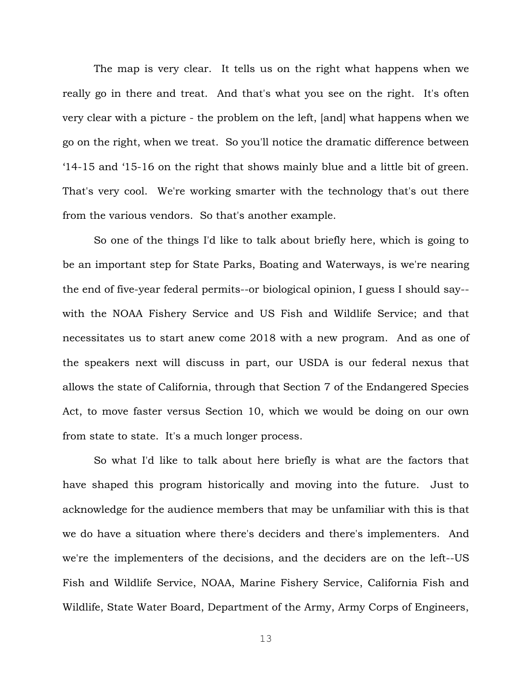The map is very clear. It tells us on the right what happens when we really go in there and treat. And that's what you see on the right. It's often very clear with a picture - the problem on the left, [and] what happens when we go on the right, when we treat. So you'll notice the dramatic difference between '14-15 and '15-16 on the right that shows mainly blue and a little bit of green. That's very cool. We're working smarter with the technology that's out there from the various vendors. So that's another example.

So one of the things I'd like to talk about briefly here, which is going to be an important step for State Parks, Boating and Waterways, is we're nearing the end of five-year federal permits--or biological opinion, I guess I should say- with the NOAA Fishery Service and US Fish and Wildlife Service; and that necessitates us to start anew come 2018 with a new program. And as one of the speakers next will discuss in part, our USDA is our federal nexus that allows the state of California, through that Section 7 of the Endangered Species Act, to move faster versus Section 10, which we would be doing on our own from state to state. It's a much longer process.

So what I'd like to talk about here briefly is what are the factors that have shaped this program historically and moving into the future. Just to acknowledge for the audience members that may be unfamiliar with this is that we do have a situation where there's deciders and there's implementers. And we're the implementers of the decisions, and the deciders are on the left--US Fish and Wildlife Service, NOAA, Marine Fishery Service, California Fish and Wildlife, State Water Board, Department of the Army, Army Corps of Engineers,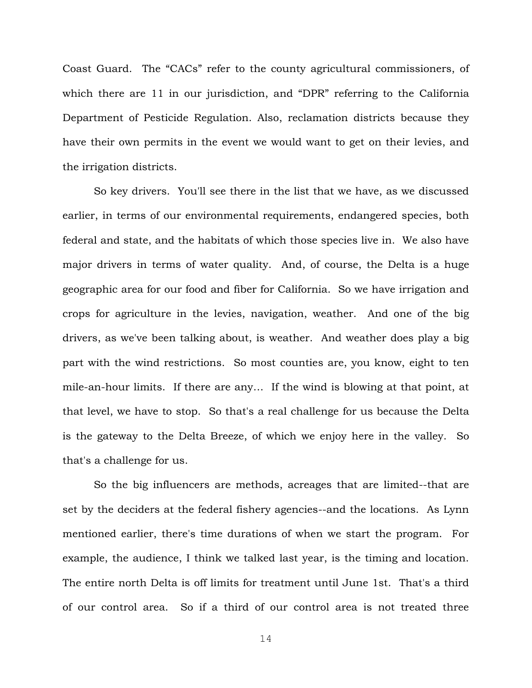Coast Guard. The "CACs" refer to the county agricultural commissioners, of which there are 11 in our jurisdiction, and "DPR" referring to the California Department of Pesticide Regulation. Also, reclamation districts because they have their own permits in the event we would want to get on their levies, and the irrigation districts.

So key drivers. You'll see there in the list that we have, as we discussed earlier, in terms of our environmental requirements, endangered species, both federal and state, and the habitats of which those species live in. We also have major drivers in terms of water quality. And, of course, the Delta is a huge geographic area for our food and fiber for California. So we have irrigation and crops for agriculture in the levies, navigation, weather. And one of the big drivers, as we've been talking about, is weather. And weather does play a big part with the wind restrictions. So most counties are, you know, eight to ten mile-an-hour limits. If there are any… If the wind is blowing at that point, at that level, we have to stop. So that's a real challenge for us because the Delta is the gateway to the Delta Breeze, of which we enjoy here in the valley. So that's a challenge for us.

So the big influencers are methods, acreages that are limited--that are set by the deciders at the federal fishery agencies--and the locations. As Lynn mentioned earlier, there's time durations of when we start the program. For example, the audience, I think we talked last year, is the timing and location. The entire north Delta is off limits for treatment until June 1st. That's a third of our control area. So if a third of our control area is not treated three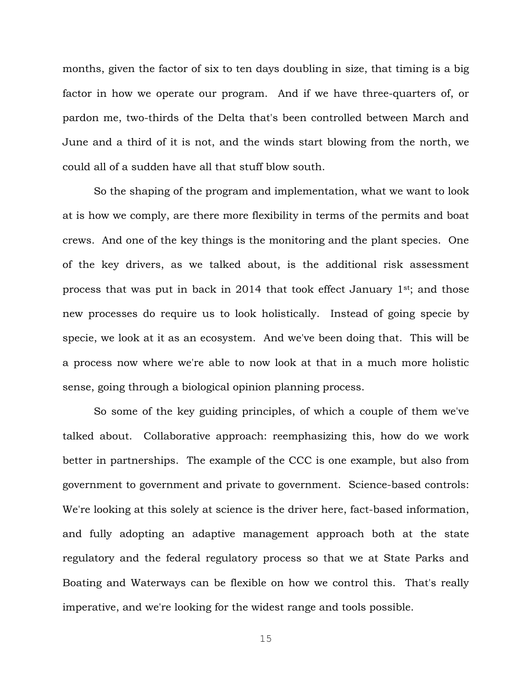months, given the factor of six to ten days doubling in size, that timing is a big factor in how we operate our program. And if we have three-quarters of, or pardon me, two-thirds of the Delta that's been controlled between March and June and a third of it is not, and the winds start blowing from the north, we could all of a sudden have all that stuff blow south.

So the shaping of the program and implementation, what we want to look at is how we comply, are there more flexibility in terms of the permits and boat crews. And one of the key things is the monitoring and the plant species. One of the key drivers, as we talked about, is the additional risk assessment process that was put in back in 2014 that took effect January 1st; and those new processes do require us to look holistically. Instead of going specie by specie, we look at it as an ecosystem. And we've been doing that. This will be a process now where we're able to now look at that in a much more holistic sense, going through a biological opinion planning process.

So some of the key guiding principles, of which a couple of them we've talked about. Collaborative approach: reemphasizing this, how do we work better in partnerships. The example of the CCC is one example, but also from government to government and private to government. Science-based controls: We're looking at this solely at science is the driver here, fact-based information, and fully adopting an adaptive management approach both at the state regulatory and the federal regulatory process so that we at State Parks and Boating and Waterways can be flexible on how we control this. That's really imperative, and we're looking for the widest range and tools possible.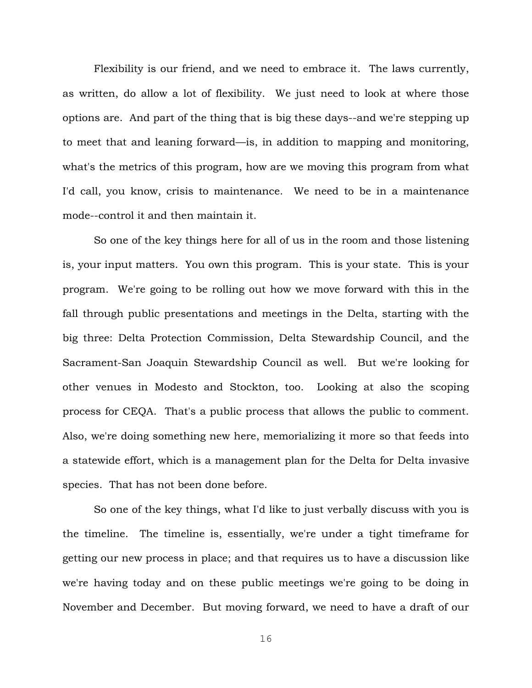Flexibility is our friend, and we need to embrace it. The laws currently, as written, do allow a lot of flexibility. We just need to look at where those options are. And part of the thing that is big these days--and we're stepping up to meet that and leaning forward—is, in addition to mapping and monitoring, what's the metrics of this program, how are we moving this program from what I'd call, you know, crisis to maintenance. We need to be in a maintenance mode--control it and then maintain it.

So one of the key things here for all of us in the room and those listening is, your input matters. You own this program. This is your state. This is your program. We're going to be rolling out how we move forward with this in the fall through public presentations and meetings in the Delta, starting with the big three: Delta Protection Commission, Delta Stewardship Council, and the Sacrament-San Joaquin Stewardship Council as well. But we're looking for other venues in Modesto and Stockton, too. Looking at also the scoping process for CEQA. That's a public process that allows the public to comment. Also, we're doing something new here, memorializing it more so that feeds into a statewide effort, which is a management plan for the Delta for Delta invasive species. That has not been done before.

So one of the key things, what I'd like to just verbally discuss with you is the timeline. The timeline is, essentially, we're under a tight timeframe for getting our new process in place; and that requires us to have a discussion like we're having today and on these public meetings we're going to be doing in November and December. But moving forward, we need to have a draft of our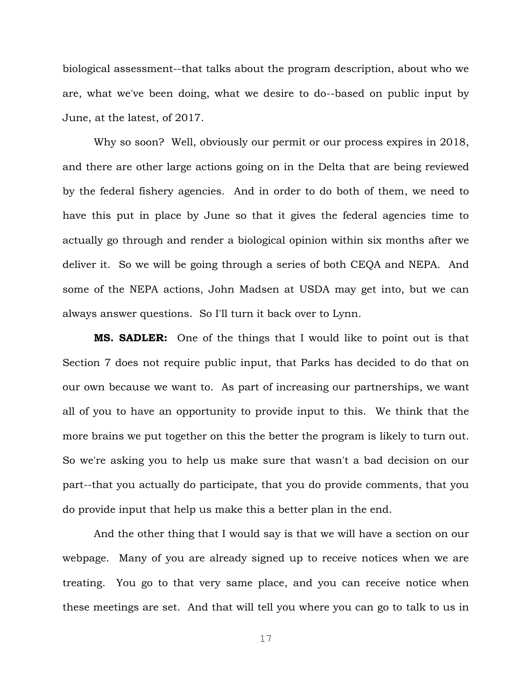biological assessment--that talks about the program description, about who we are, what we've been doing, what we desire to do--based on public input by June, at the latest, of 2017.

Why so soon? Well, obviously our permit or our process expires in 2018, and there are other large actions going on in the Delta that are being reviewed by the federal fishery agencies. And in order to do both of them, we need to have this put in place by June so that it gives the federal agencies time to actually go through and render a biological opinion within six months after we deliver it. So we will be going through a series of both CEQA and NEPA. And some of the NEPA actions, John Madsen at USDA may get into, but we can always answer questions. So I'll turn it back over to Lynn.

**MS. SADLER:** One of the things that I would like to point out is that Section 7 does not require public input, that Parks has decided to do that on our own because we want to. As part of increasing our partnerships, we want all of you to have an opportunity to provide input to this. We think that the more brains we put together on this the better the program is likely to turn out. So we're asking you to help us make sure that wasn't a bad decision on our part--that you actually do participate, that you do provide comments, that you do provide input that help us make this a better plan in the end.

And the other thing that I would say is that we will have a section on our webpage. Many of you are already signed up to receive notices when we are treating. You go to that very same place, and you can receive notice when these meetings are set. And that will tell you where you can go to talk to us in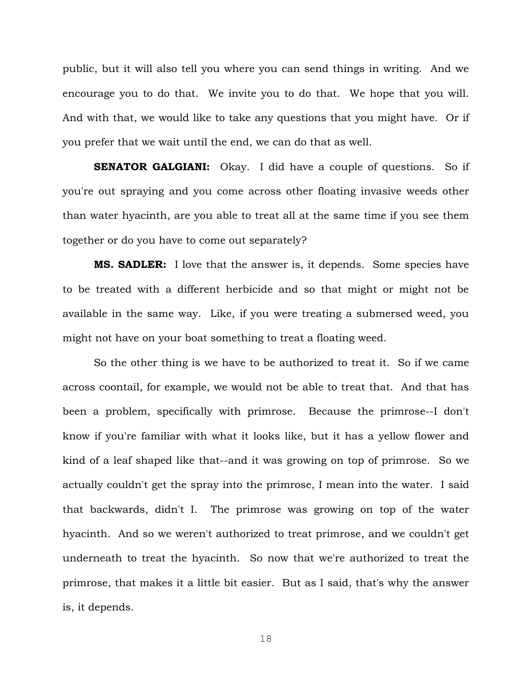public, but it will also tell you where you can send things in writing. And we encourage you to do that. We invite you to do that. We hope that you will. And with that, we would like to take any questions that you might have. Or if you prefer that we wait until the end, we can do that as well.

**SENATOR GALGIANI:** Okay. I did have a couple of questions. So if you're out spraying and you come across other floating invasive weeds other than water hyacinth, are you able to treat all at the same time if you see them together or do you have to come out separately?

**MS. SADLER:** I love that the answer is, it depends. Some species have to be treated with a different herbicide and so that might or might not be available in the same way. Like, if you were treating a submersed weed, you might not have on your boat something to treat a floating weed.

So the other thing is we have to be authorized to treat it. So if we came across coontail, for example, we would not be able to treat that. And that has been a problem, specifically with primrose. Because the primrose--I don't know if you're familiar with what it looks like, but it has a yellow flower and kind of a leaf shaped like that--and it was growing on top of primrose. So we actually couldn't get the spray into the primrose, I mean into the water. I said that backwards, didn't I. The primrose was growing on top of the water hyacinth. And so we weren't authorized to treat primrose, and we couldn't get underneath to treat the hyacinth. So now that we're authorized to treat the primrose, that makes it a little bit easier. But as I said, that's why the answer is, it depends.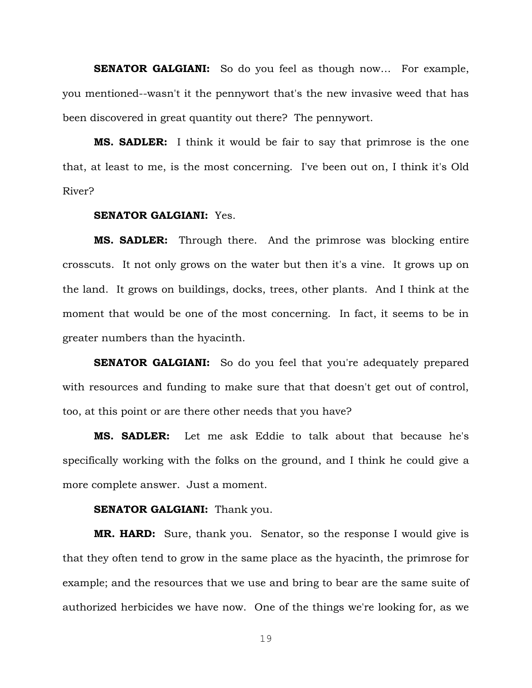**SENATOR GALGIANI:** So do you feel as though now... For example, you mentioned--wasn't it the pennywort that's the new invasive weed that has been discovered in great quantity out there? The pennywort.

**MS. SADLER:** I think it would be fair to say that primrose is the one that, at least to me, is the most concerning. I've been out on, I think it's Old River?

# **SENATOR GALGIANI:** Yes.

**MS. SADLER:** Through there. And the primrose was blocking entire crosscuts. It not only grows on the water but then it's a vine. It grows up on the land. It grows on buildings, docks, trees, other plants. And I think at the moment that would be one of the most concerning. In fact, it seems to be in greater numbers than the hyacinth.

**SENATOR GALGIANI:** So do you feel that you're adequately prepared with resources and funding to make sure that that doesn't get out of control, too, at this point or are there other needs that you have?

**MS. SADLER:** Let me ask Eddie to talk about that because he's specifically working with the folks on the ground, and I think he could give a more complete answer. Just a moment.

#### **SENATOR GALGIANI:** Thank you.

**MR. HARD:** Sure, thank you. Senator, so the response I would give is that they often tend to grow in the same place as the hyacinth, the primrose for example; and the resources that we use and bring to bear are the same suite of authorized herbicides we have now. One of the things we're looking for, as we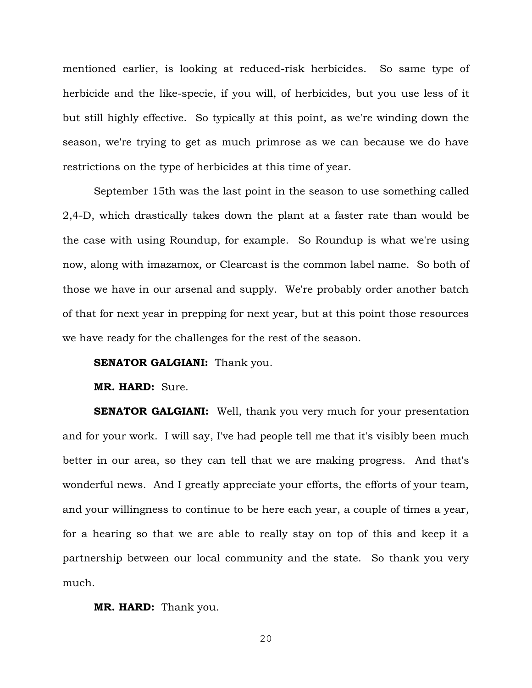mentioned earlier, is looking at reduced-risk herbicides. So same type of herbicide and the like-specie, if you will, of herbicides, but you use less of it but still highly effective. So typically at this point, as we're winding down the season, we're trying to get as much primrose as we can because we do have restrictions on the type of herbicides at this time of year.

September 15th was the last point in the season to use something called 2,4-D, which drastically takes down the plant at a faster rate than would be the case with using Roundup, for example. So Roundup is what we're using now, along with imazamox, or Clearcast is the common label name. So both of those we have in our arsenal and supply. We're probably order another batch of that for next year in prepping for next year, but at this point those resources we have ready for the challenges for the rest of the season.

#### **SENATOR GALGIANI:** Thank you.

# **MR. HARD:** Sure.

**SENATOR GALGIANI:** Well, thank you very much for your presentation and for your work. I will say, I've had people tell me that it's visibly been much better in our area, so they can tell that we are making progress. And that's wonderful news. And I greatly appreciate your efforts, the efforts of your team, and your willingness to continue to be here each year, a couple of times a year, for a hearing so that we are able to really stay on top of this and keep it a partnership between our local community and the state. So thank you very much.

#### **MR. HARD:** Thank you.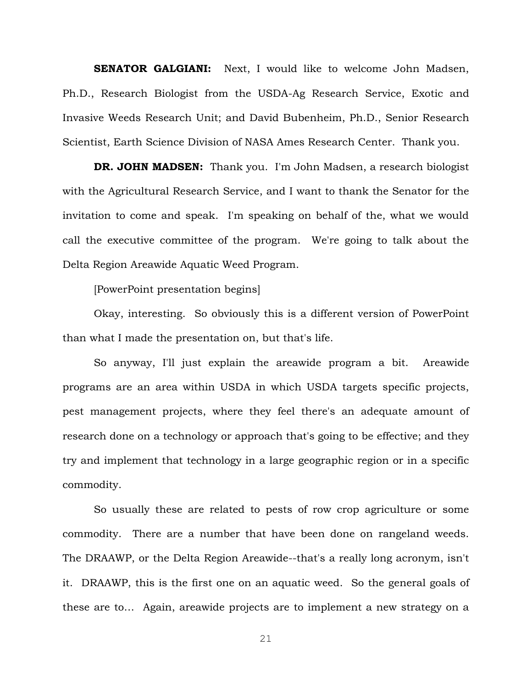**SENATOR GALGIANI:** Next, I would like to welcome John Madsen, Ph.D., Research Biologist from the USDA-Ag Research Service, Exotic and Invasive Weeds Research Unit; and David Bubenheim, Ph.D., Senior Research Scientist, Earth Science Division of NASA Ames Research Center. Thank you.

**DR. JOHN MADSEN:** Thank you. I'm John Madsen, a research biologist with the Agricultural Research Service, and I want to thank the Senator for the invitation to come and speak. I'm speaking on behalf of the, what we would call the executive committee of the program. We're going to talk about the Delta Region Areawide Aquatic Weed Program.

[PowerPoint presentation begins]

Okay, interesting. So obviously this is a different version of PowerPoint than what I made the presentation on, but that's life.

So anyway, I'll just explain the areawide program a bit. Areawide programs are an area within USDA in which USDA targets specific projects, pest management projects, where they feel there's an adequate amount of research done on a technology or approach that's going to be effective; and they try and implement that technology in a large geographic region or in a specific commodity.

So usually these are related to pests of row crop agriculture or some commodity. There are a number that have been done on rangeland weeds. The DRAAWP, or the Delta Region Areawide--that's a really long acronym, isn't it. DRAAWP, this is the first one on an aquatic weed. So the general goals of these are to… Again, areawide projects are to implement a new strategy on a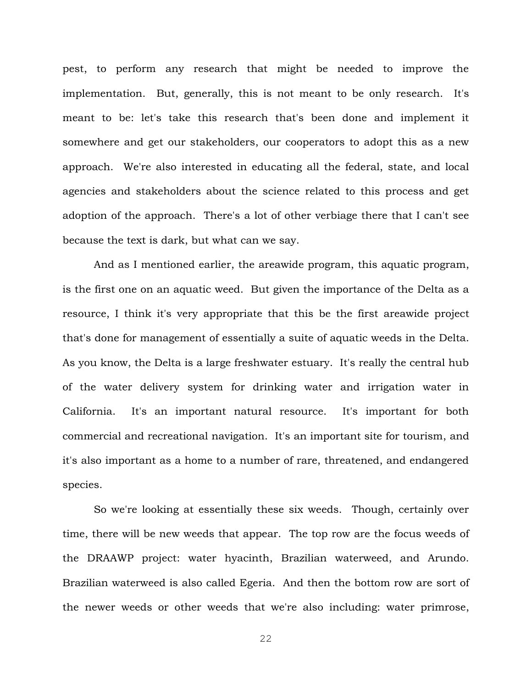pest, to perform any research that might be needed to improve the implementation. But, generally, this is not meant to be only research. It's meant to be: let's take this research that's been done and implement it somewhere and get our stakeholders, our cooperators to adopt this as a new approach. We're also interested in educating all the federal, state, and local agencies and stakeholders about the science related to this process and get adoption of the approach. There's a lot of other verbiage there that I can't see because the text is dark, but what can we say.

And as I mentioned earlier, the areawide program, this aquatic program, is the first one on an aquatic weed. But given the importance of the Delta as a resource, I think it's very appropriate that this be the first areawide project that's done for management of essentially a suite of aquatic weeds in the Delta. As you know, the Delta is a large freshwater estuary. It's really the central hub of the water delivery system for drinking water and irrigation water in California. It's an important natural resource. It's important for both commercial and recreational navigation. It's an important site for tourism, and it's also important as a home to a number of rare, threatened, and endangered species.

So we're looking at essentially these six weeds. Though, certainly over time, there will be new weeds that appear. The top row are the focus weeds of the DRAAWP project: water hyacinth, Brazilian waterweed, and Arundo. Brazilian waterweed is also called Egeria. And then the bottom row are sort of the newer weeds or other weeds that we're also including: water primrose,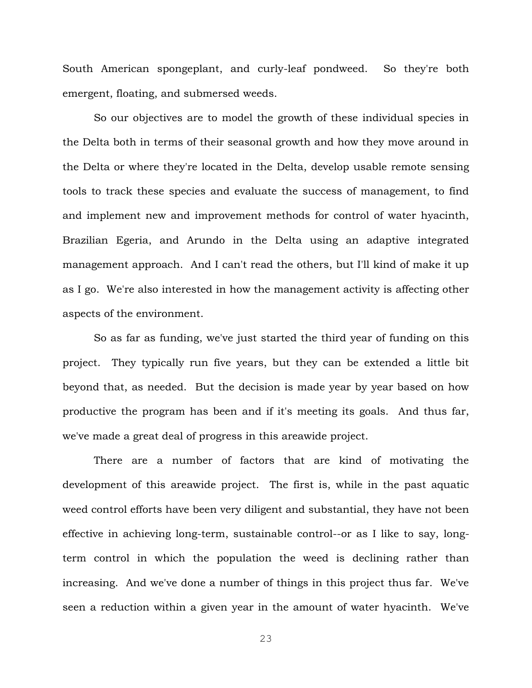South American spongeplant, and curly-leaf pondweed. So they're both emergent, floating, and submersed weeds.

So our objectives are to model the growth of these individual species in the Delta both in terms of their seasonal growth and how they move around in the Delta or where they're located in the Delta, develop usable remote sensing tools to track these species and evaluate the success of management, to find and implement new and improvement methods for control of water hyacinth, Brazilian Egeria, and Arundo in the Delta using an adaptive integrated management approach. And I can't read the others, but I'll kind of make it up as I go. We're also interested in how the management activity is affecting other aspects of the environment.

So as far as funding, we've just started the third year of funding on this project. They typically run five years, but they can be extended a little bit beyond that, as needed. But the decision is made year by year based on how productive the program has been and if it's meeting its goals. And thus far, we've made a great deal of progress in this areawide project.

There are a number of factors that are kind of motivating the development of this areawide project. The first is, while in the past aquatic weed control efforts have been very diligent and substantial, they have not been effective in achieving long-term, sustainable control--or as I like to say, longterm control in which the population the weed is declining rather than increasing. And we've done a number of things in this project thus far. We've seen a reduction within a given year in the amount of water hyacinth. We've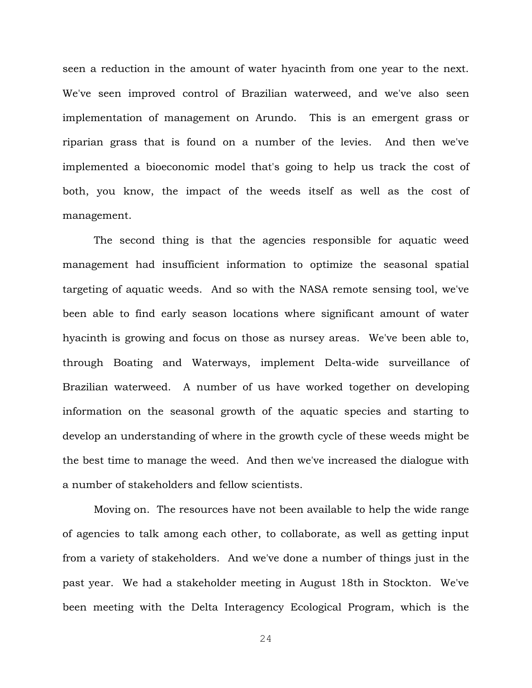seen a reduction in the amount of water hyacinth from one year to the next. We've seen improved control of Brazilian waterweed, and we've also seen implementation of management on Arundo. This is an emergent grass or riparian grass that is found on a number of the levies. And then we've implemented a bioeconomic model that's going to help us track the cost of both, you know, the impact of the weeds itself as well as the cost of management.

The second thing is that the agencies responsible for aquatic weed management had insufficient information to optimize the seasonal spatial targeting of aquatic weeds. And so with the NASA remote sensing tool, we've been able to find early season locations where significant amount of water hyacinth is growing and focus on those as nursey areas. We've been able to, through Boating and Waterways, implement Delta-wide surveillance of Brazilian waterweed. A number of us have worked together on developing information on the seasonal growth of the aquatic species and starting to develop an understanding of where in the growth cycle of these weeds might be the best time to manage the weed. And then we've increased the dialogue with a number of stakeholders and fellow scientists.

Moving on. The resources have not been available to help the wide range of agencies to talk among each other, to collaborate, as well as getting input from a variety of stakeholders. And we've done a number of things just in the past year. We had a stakeholder meeting in August 18th in Stockton. We've been meeting with the Delta Interagency Ecological Program, which is the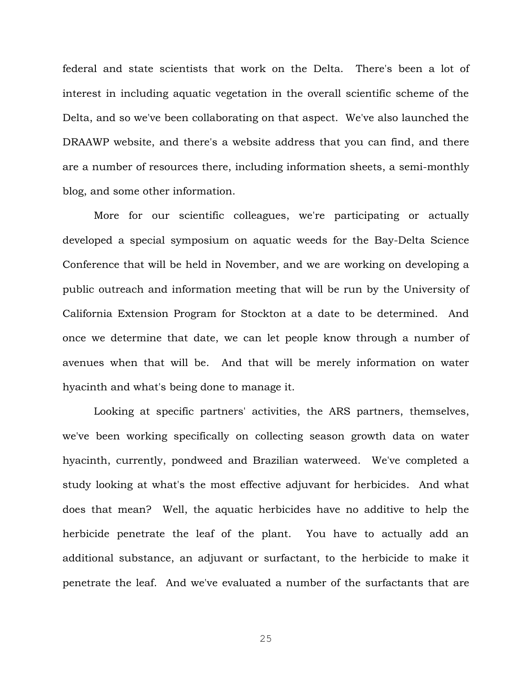federal and state scientists that work on the Delta. There's been a lot of interest in including aquatic vegetation in the overall scientific scheme of the Delta, and so we've been collaborating on that aspect. We've also launched the DRAAWP website, and there's a website address that you can find, and there are a number of resources there, including information sheets, a semi-monthly blog, and some other information.

More for our scientific colleagues, we're participating or actually developed a special symposium on aquatic weeds for the Bay-Delta Science Conference that will be held in November, and we are working on developing a public outreach and information meeting that will be run by the University of California Extension Program for Stockton at a date to be determined. And once we determine that date, we can let people know through a number of avenues when that will be. And that will be merely information on water hyacinth and what's being done to manage it.

Looking at specific partners' activities, the ARS partners, themselves, we've been working specifically on collecting season growth data on water hyacinth, currently, pondweed and Brazilian waterweed. We've completed a study looking at what's the most effective adjuvant for herbicides. And what does that mean? Well, the aquatic herbicides have no additive to help the herbicide penetrate the leaf of the plant. You have to actually add an additional substance, an adjuvant or surfactant, to the herbicide to make it penetrate the leaf. And we've evaluated a number of the surfactants that are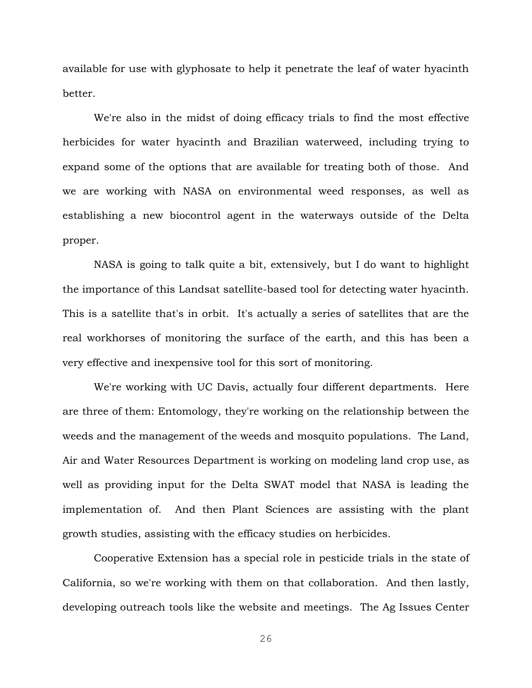available for use with glyphosate to help it penetrate the leaf of water hyacinth better.

We're also in the midst of doing efficacy trials to find the most effective herbicides for water hyacinth and Brazilian waterweed, including trying to expand some of the options that are available for treating both of those. And we are working with NASA on environmental weed responses, as well as establishing a new biocontrol agent in the waterways outside of the Delta proper.

NASA is going to talk quite a bit, extensively, but I do want to highlight the importance of this Landsat satellite-based tool for detecting water hyacinth. This is a satellite that's in orbit. It's actually a series of satellites that are the real workhorses of monitoring the surface of the earth, and this has been a very effective and inexpensive tool for this sort of monitoring.

We're working with UC Davis, actually four different departments. Here are three of them: Entomology, they're working on the relationship between the weeds and the management of the weeds and mosquito populations. The Land, Air and Water Resources Department is working on modeling land crop use, as well as providing input for the Delta SWAT model that NASA is leading the implementation of. And then Plant Sciences are assisting with the plant growth studies, assisting with the efficacy studies on herbicides.

Cooperative Extension has a special role in pesticide trials in the state of California, so we're working with them on that collaboration. And then lastly, developing outreach tools like the website and meetings. The Ag Issues Center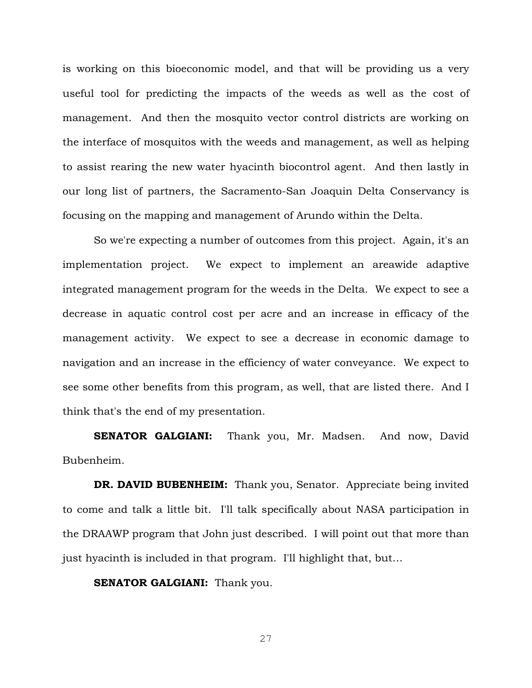is working on this bioeconomic model, and that will be providing us a very useful tool for predicting the impacts of the weeds as well as the cost of management. And then the mosquito vector control districts are working on the interface of mosquitos with the weeds and management, as well as helping to assist rearing the new water hyacinth biocontrol agent. And then lastly in our long list of partners, the Sacramento-San Joaquin Delta Conservancy is focusing on the mapping and management of Arundo within the Delta.

So we're expecting a number of outcomes from this project. Again, it's an implementation project. We expect to implement an areawide adaptive integrated management program for the weeds in the Delta. We expect to see a decrease in aquatic control cost per acre and an increase in efficacy of the management activity. We expect to see a decrease in economic damage to navigation and an increase in the efficiency of water conveyance. We expect to see some other benefits from this program, as well, that are listed there. And I think that's the end of my presentation.

**SENATOR GALGIANI:** Thank you, Mr. Madsen. And now, David Bubenheim.

**DR. DAVID BUBENHEIM:** Thank you, Senator. Appreciate being invited to come and talk a little bit. I'll talk specifically about NASA participation in the DRAAWP program that John just described. I will point out that more than just hyacinth is included in that program. I'll highlight that, but…

**SENATOR GALGIANI:** Thank you.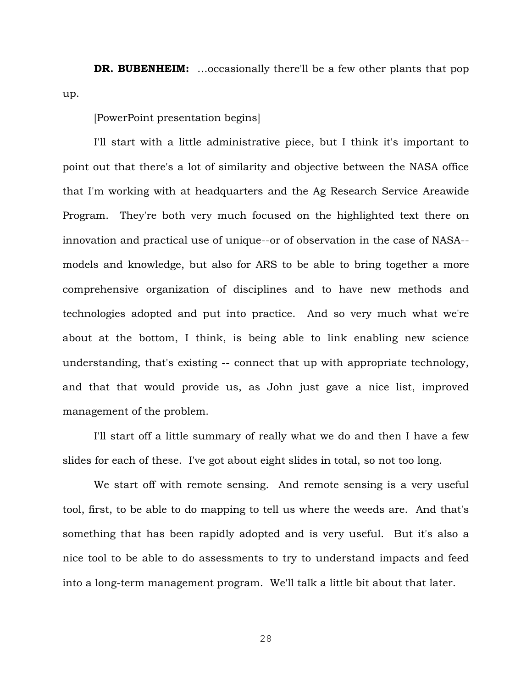**DR. BUBENHEIM:** ...occasionally there'll be a few other plants that pop up.

[PowerPoint presentation begins]

I'll start with a little administrative piece, but I think it's important to point out that there's a lot of similarity and objective between the NASA office that I'm working with at headquarters and the Ag Research Service Areawide Program. They're both very much focused on the highlighted text there on innovation and practical use of unique--or of observation in the case of NASA- models and knowledge, but also for ARS to be able to bring together a more comprehensive organization of disciplines and to have new methods and technologies adopted and put into practice. And so very much what we're about at the bottom, I think, is being able to link enabling new science understanding, that's existing -- connect that up with appropriate technology, and that that would provide us, as John just gave a nice list, improved management of the problem.

I'll start off a little summary of really what we do and then I have a few slides for each of these. I've got about eight slides in total, so not too long.

We start off with remote sensing. And remote sensing is a very useful tool, first, to be able to do mapping to tell us where the weeds are. And that's something that has been rapidly adopted and is very useful. But it's also a nice tool to be able to do assessments to try to understand impacts and feed into a long-term management program. We'll talk a little bit about that later.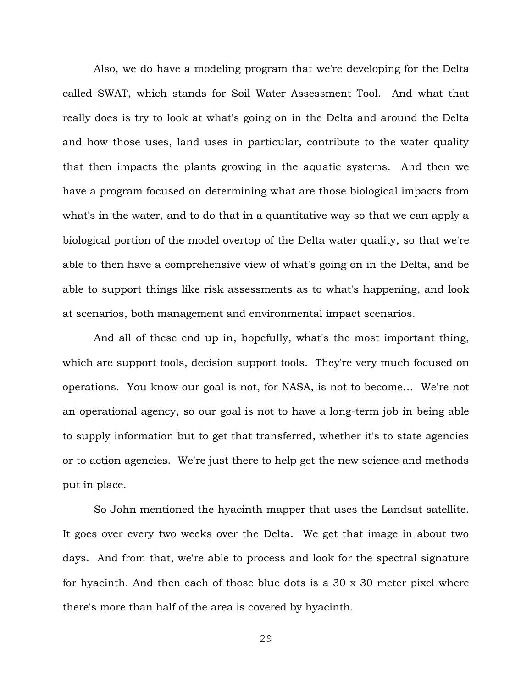Also, we do have a modeling program that we're developing for the Delta called SWAT, which stands for Soil Water Assessment Tool. And what that really does is try to look at what's going on in the Delta and around the Delta and how those uses, land uses in particular, contribute to the water quality that then impacts the plants growing in the aquatic systems. And then we have a program focused on determining what are those biological impacts from what's in the water, and to do that in a quantitative way so that we can apply a biological portion of the model overtop of the Delta water quality, so that we're able to then have a comprehensive view of what's going on in the Delta, and be able to support things like risk assessments as to what's happening, and look at scenarios, both management and environmental impact scenarios.

And all of these end up in, hopefully, what's the most important thing, which are support tools, decision support tools. They're very much focused on operations. You know our goal is not, for NASA, is not to become… We're not an operational agency, so our goal is not to have a long-term job in being able to supply information but to get that transferred, whether it's to state agencies or to action agencies. We're just there to help get the new science and methods put in place.

So John mentioned the hyacinth mapper that uses the Landsat satellite. It goes over every two weeks over the Delta. We get that image in about two days. And from that, we're able to process and look for the spectral signature for hyacinth. And then each of those blue dots is a 30 x 30 meter pixel where there's more than half of the area is covered by hyacinth.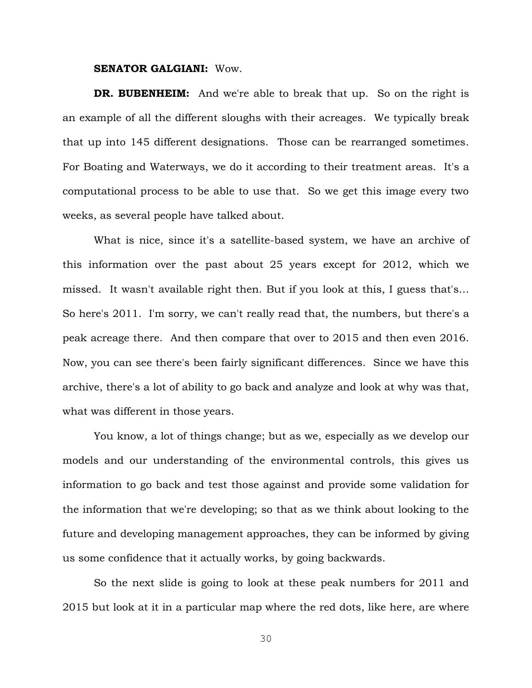#### **SENATOR GALGIANI:** Wow.

**DR. BUBENHEIM:** And we're able to break that up. So on the right is an example of all the different sloughs with their acreages. We typically break that up into 145 different designations. Those can be rearranged sometimes. For Boating and Waterways, we do it according to their treatment areas. It's a computational process to be able to use that. So we get this image every two weeks, as several people have talked about.

What is nice, since it's a satellite-based system, we have an archive of this information over the past about 25 years except for 2012, which we missed. It wasn't available right then. But if you look at this, I guess that's… So here's 2011. I'm sorry, we can't really read that, the numbers, but there's a peak acreage there. And then compare that over to 2015 and then even 2016. Now, you can see there's been fairly significant differences. Since we have this archive, there's a lot of ability to go back and analyze and look at why was that, what was different in those years.

You know, a lot of things change; but as we, especially as we develop our models and our understanding of the environmental controls, this gives us information to go back and test those against and provide some validation for the information that we're developing; so that as we think about looking to the future and developing management approaches, they can be informed by giving us some confidence that it actually works, by going backwards.

So the next slide is going to look at these peak numbers for 2011 and 2015 but look at it in a particular map where the red dots, like here, are where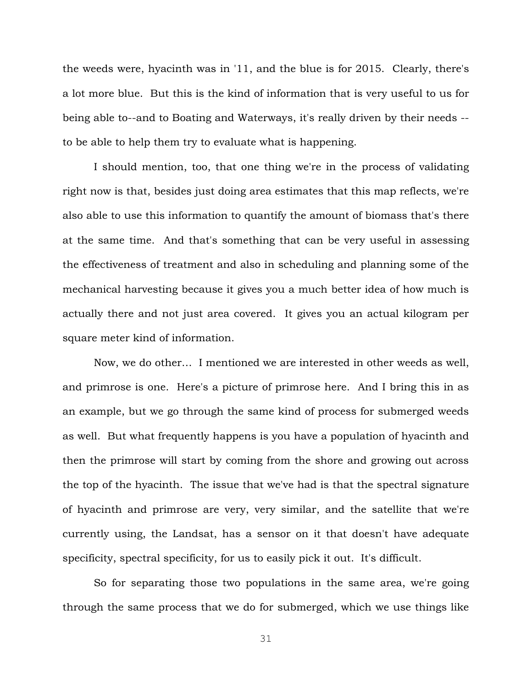the weeds were, hyacinth was in '11, and the blue is for 2015. Clearly, there's a lot more blue. But this is the kind of information that is very useful to us for being able to--and to Boating and Waterways, it's really driven by their needs - to be able to help them try to evaluate what is happening.

I should mention, too, that one thing we're in the process of validating right now is that, besides just doing area estimates that this map reflects, we're also able to use this information to quantify the amount of biomass that's there at the same time. And that's something that can be very useful in assessing the effectiveness of treatment and also in scheduling and planning some of the mechanical harvesting because it gives you a much better idea of how much is actually there and not just area covered. It gives you an actual kilogram per square meter kind of information.

Now, we do other… I mentioned we are interested in other weeds as well, and primrose is one. Here's a picture of primrose here. And I bring this in as an example, but we go through the same kind of process for submerged weeds as well. But what frequently happens is you have a population of hyacinth and then the primrose will start by coming from the shore and growing out across the top of the hyacinth. The issue that we've had is that the spectral signature of hyacinth and primrose are very, very similar, and the satellite that we're currently using, the Landsat, has a sensor on it that doesn't have adequate specificity, spectral specificity, for us to easily pick it out. It's difficult.

So for separating those two populations in the same area, we're going through the same process that we do for submerged, which we use things like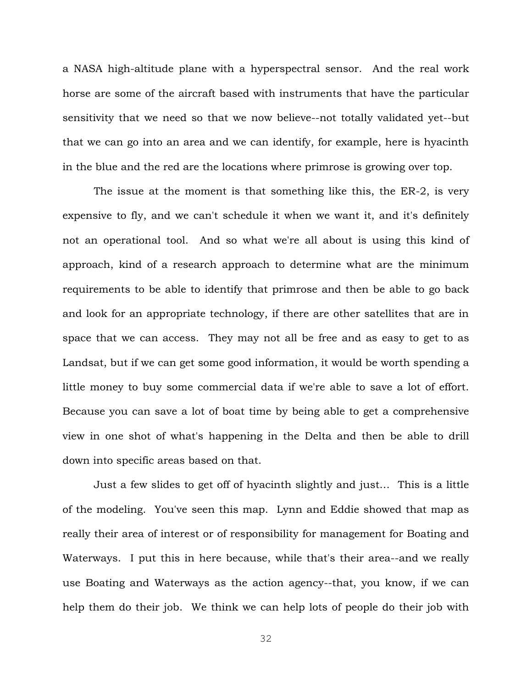a NASA high-altitude plane with a hyperspectral sensor. And the real work horse are some of the aircraft based with instruments that have the particular sensitivity that we need so that we now believe--not totally validated yet--but that we can go into an area and we can identify, for example, here is hyacinth in the blue and the red are the locations where primrose is growing over top.

The issue at the moment is that something like this, the ER-2, is very expensive to fly, and we can't schedule it when we want it, and it's definitely not an operational tool. And so what we're all about is using this kind of approach, kind of a research approach to determine what are the minimum requirements to be able to identify that primrose and then be able to go back and look for an appropriate technology, if there are other satellites that are in space that we can access. They may not all be free and as easy to get to as Landsat, but if we can get some good information, it would be worth spending a little money to buy some commercial data if we're able to save a lot of effort. Because you can save a lot of boat time by being able to get a comprehensive view in one shot of what's happening in the Delta and then be able to drill down into specific areas based on that.

Just a few slides to get off of hyacinth slightly and just… This is a little of the modeling. You've seen this map. Lynn and Eddie showed that map as really their area of interest or of responsibility for management for Boating and Waterways. I put this in here because, while that's their area--and we really use Boating and Waterways as the action agency--that, you know, if we can help them do their job. We think we can help lots of people do their job with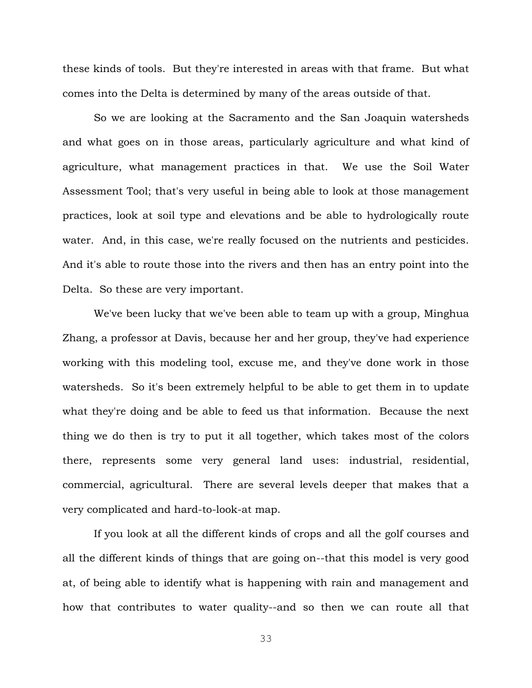these kinds of tools. But they're interested in areas with that frame. But what comes into the Delta is determined by many of the areas outside of that.

So we are looking at the Sacramento and the San Joaquin watersheds and what goes on in those areas, particularly agriculture and what kind of agriculture, what management practices in that. We use the Soil Water Assessment Tool; that's very useful in being able to look at those management practices, look at soil type and elevations and be able to hydrologically route water. And, in this case, we're really focused on the nutrients and pesticides. And it's able to route those into the rivers and then has an entry point into the Delta. So these are very important.

We've been lucky that we've been able to team up with a group, Minghua Zhang, a professor at Davis, because her and her group, they've had experience working with this modeling tool, excuse me, and they've done work in those watersheds. So it's been extremely helpful to be able to get them in to update what they're doing and be able to feed us that information. Because the next thing we do then is try to put it all together, which takes most of the colors there, represents some very general land uses: industrial, residential, commercial, agricultural. There are several levels deeper that makes that a very complicated and hard-to-look-at map.

If you look at all the different kinds of crops and all the golf courses and all the different kinds of things that are going on--that this model is very good at, of being able to identify what is happening with rain and management and how that contributes to water quality--and so then we can route all that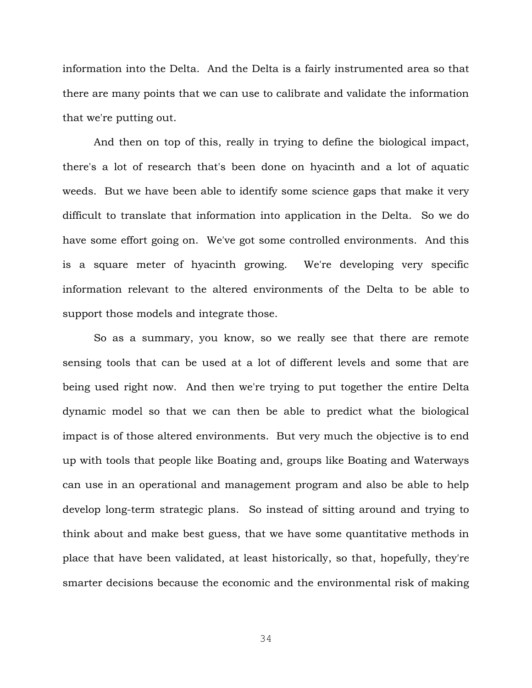information into the Delta. And the Delta is a fairly instrumented area so that there are many points that we can use to calibrate and validate the information that we're putting out.

And then on top of this, really in trying to define the biological impact, there's a lot of research that's been done on hyacinth and a lot of aquatic weeds. But we have been able to identify some science gaps that make it very difficult to translate that information into application in the Delta. So we do have some effort going on. We've got some controlled environments. And this is a square meter of hyacinth growing. We're developing very specific information relevant to the altered environments of the Delta to be able to support those models and integrate those.

So as a summary, you know, so we really see that there are remote sensing tools that can be used at a lot of different levels and some that are being used right now. And then we're trying to put together the entire Delta dynamic model so that we can then be able to predict what the biological impact is of those altered environments. But very much the objective is to end up with tools that people like Boating and, groups like Boating and Waterways can use in an operational and management program and also be able to help develop long-term strategic plans. So instead of sitting around and trying to think about and make best guess, that we have some quantitative methods in place that have been validated, at least historically, so that, hopefully, they're smarter decisions because the economic and the environmental risk of making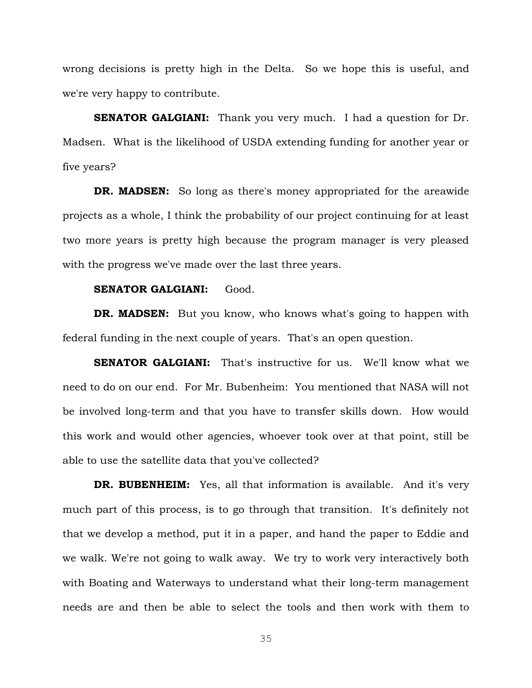wrong decisions is pretty high in the Delta. So we hope this is useful, and we're very happy to contribute.

**SENATOR GALGIANI:** Thank you very much. I had a question for Dr. Madsen. What is the likelihood of USDA extending funding for another year or five years?

**DR. MADSEN:** So long as there's money appropriated for the areawide projects as a whole, I think the probability of our project continuing for at least two more years is pretty high because the program manager is very pleased with the progress we've made over the last three years.

#### **SENATOR GALGIANI: Good.**

**DR. MADSEN:** But you know, who knows what's going to happen with federal funding in the next couple of years. That's an open question.

**SENATOR GALGIANI:** That's instructive for us. We'll know what we need to do on our end. For Mr. Bubenheim: You mentioned that NASA will not be involved long-term and that you have to transfer skills down. How would this work and would other agencies, whoever took over at that point, still be able to use the satellite data that you've collected?

**DR. BUBENHEIM:** Yes, all that information is available. And it's very much part of this process, is to go through that transition. It's definitely not that we develop a method, put it in a paper, and hand the paper to Eddie and we walk. We're not going to walk away. We try to work very interactively both with Boating and Waterways to understand what their long-term management needs are and then be able to select the tools and then work with them to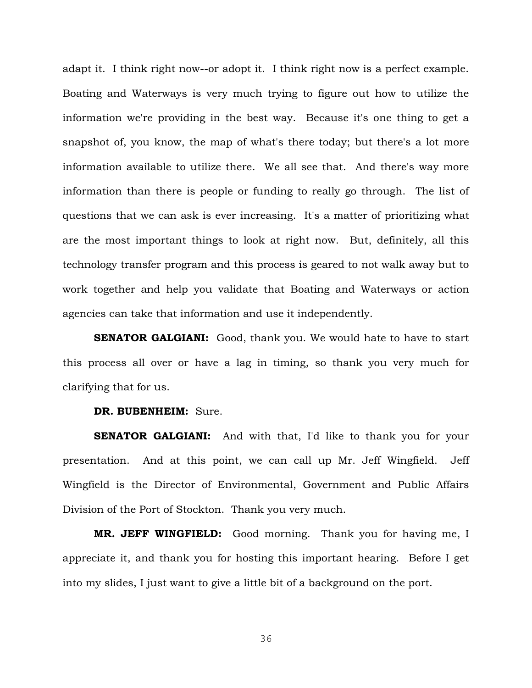adapt it. I think right now--or adopt it. I think right now is a perfect example. Boating and Waterways is very much trying to figure out how to utilize the information we're providing in the best way. Because it's one thing to get a snapshot of, you know, the map of what's there today; but there's a lot more information available to utilize there. We all see that. And there's way more information than there is people or funding to really go through. The list of questions that we can ask is ever increasing. It's a matter of prioritizing what are the most important things to look at right now. But, definitely, all this technology transfer program and this process is geared to not walk away but to work together and help you validate that Boating and Waterways or action agencies can take that information and use it independently.

**SENATOR GALGIANI:** Good, thank you. We would hate to have to start this process all over or have a lag in timing, so thank you very much for clarifying that for us.

### **DR. BUBENHEIM:** Sure.

**SENATOR GALGIANI:** And with that, I'd like to thank you for your presentation. And at this point, we can call up Mr. Jeff Wingfield. Jeff Wingfield is the Director of Environmental, Government and Public Affairs Division of the Port of Stockton. Thank you very much.

**MR. JEFF WINGFIELD:** Good morning. Thank you for having me, I appreciate it, and thank you for hosting this important hearing. Before I get into my slides, I just want to give a little bit of a background on the port.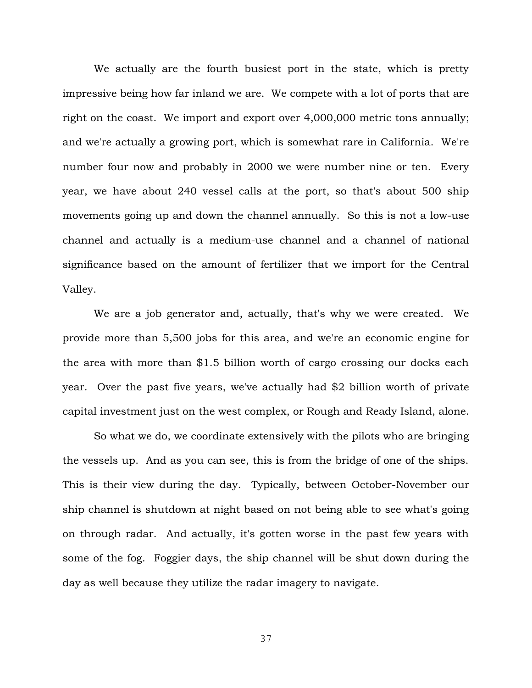We actually are the fourth busiest port in the state, which is pretty impressive being how far inland we are. We compete with a lot of ports that are right on the coast. We import and export over 4,000,000 metric tons annually; and we're actually a growing port, which is somewhat rare in California. We're number four now and probably in 2000 we were number nine or ten. Every year, we have about 240 vessel calls at the port, so that's about 500 ship movements going up and down the channel annually. So this is not a low-use channel and actually is a medium-use channel and a channel of national significance based on the amount of fertilizer that we import for the Central Valley.

We are a job generator and, actually, that's why we were created. We provide more than 5,500 jobs for this area, and we're an economic engine for the area with more than \$1.5 billion worth of cargo crossing our docks each year. Over the past five years, we've actually had \$2 billion worth of private capital investment just on the west complex, or Rough and Ready Island, alone.

So what we do, we coordinate extensively with the pilots who are bringing the vessels up. And as you can see, this is from the bridge of one of the ships. This is their view during the day. Typically, between October-November our ship channel is shutdown at night based on not being able to see what's going on through radar. And actually, it's gotten worse in the past few years with some of the fog. Foggier days, the ship channel will be shut down during the day as well because they utilize the radar imagery to navigate.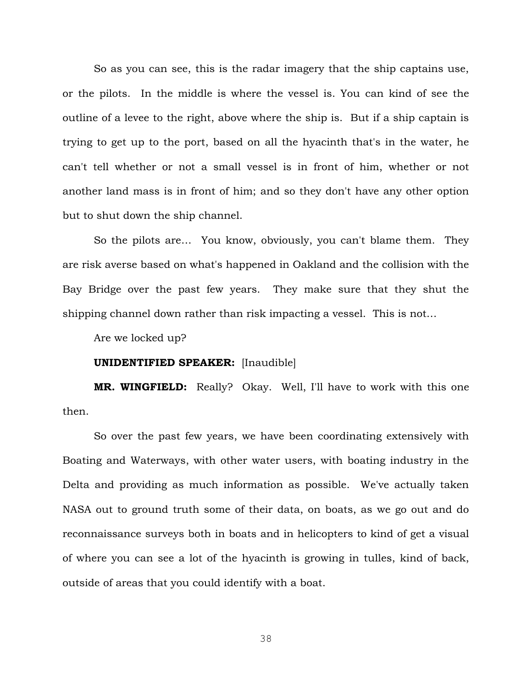So as you can see, this is the radar imagery that the ship captains use, or the pilots. In the middle is where the vessel is. You can kind of see the outline of a levee to the right, above where the ship is. But if a ship captain is trying to get up to the port, based on all the hyacinth that's in the water, he can't tell whether or not a small vessel is in front of him, whether or not another land mass is in front of him; and so they don't have any other option but to shut down the ship channel.

So the pilots are… You know, obviously, you can't blame them. They are risk averse based on what's happened in Oakland and the collision with the Bay Bridge over the past few years. They make sure that they shut the shipping channel down rather than risk impacting a vessel. This is not…

Are we locked up?

#### **UNIDENTIFIED SPEAKER:** [Inaudible]

**MR. WINGFIELD:** Really? Okay. Well, I'll have to work with this one then.

So over the past few years, we have been coordinating extensively with Boating and Waterways, with other water users, with boating industry in the Delta and providing as much information as possible. We've actually taken NASA out to ground truth some of their data, on boats, as we go out and do reconnaissance surveys both in boats and in helicopters to kind of get a visual of where you can see a lot of the hyacinth is growing in tulles, kind of back, outside of areas that you could identify with a boat.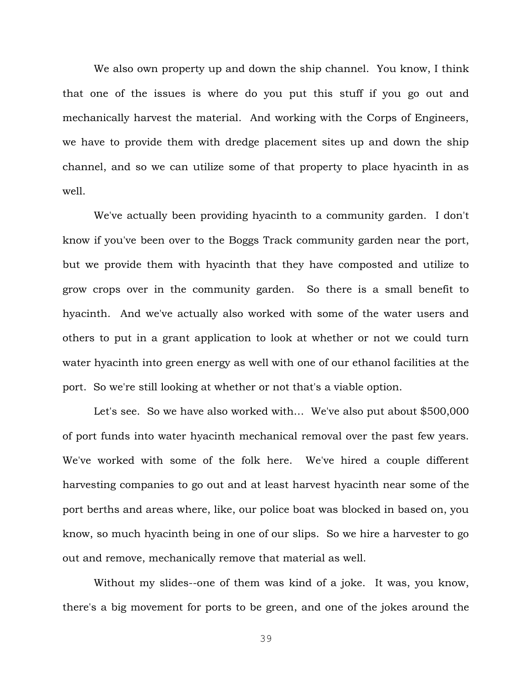We also own property up and down the ship channel. You know, I think that one of the issues is where do you put this stuff if you go out and mechanically harvest the material. And working with the Corps of Engineers, we have to provide them with dredge placement sites up and down the ship channel, and so we can utilize some of that property to place hyacinth in as well.

We've actually been providing hyacinth to a community garden. I don't know if you've been over to the Boggs Track community garden near the port, but we provide them with hyacinth that they have composted and utilize to grow crops over in the community garden. So there is a small benefit to hyacinth. And we've actually also worked with some of the water users and others to put in a grant application to look at whether or not we could turn water hyacinth into green energy as well with one of our ethanol facilities at the port. So we're still looking at whether or not that's a viable option.

Let's see. So we have also worked with... We've also put about \$500,000 of port funds into water hyacinth mechanical removal over the past few years. We've worked with some of the folk here. We've hired a couple different harvesting companies to go out and at least harvest hyacinth near some of the port berths and areas where, like, our police boat was blocked in based on, you know, so much hyacinth being in one of our slips. So we hire a harvester to go out and remove, mechanically remove that material as well.

Without my slides--one of them was kind of a joke. It was, you know, there's a big movement for ports to be green, and one of the jokes around the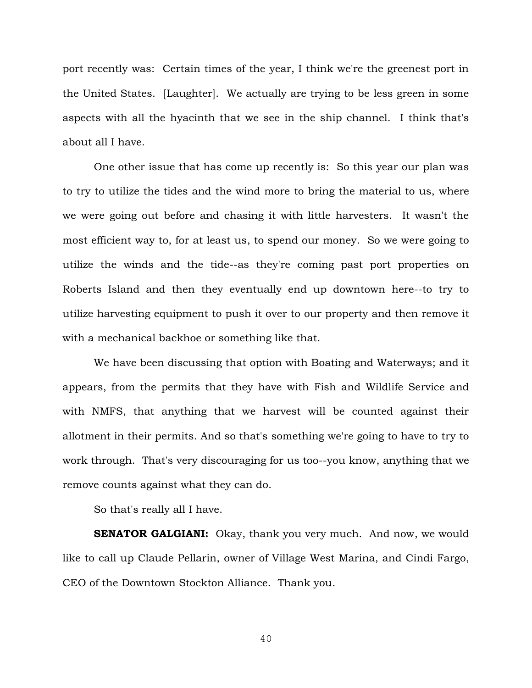port recently was: Certain times of the year, I think we're the greenest port in the United States. [Laughter]. We actually are trying to be less green in some aspects with all the hyacinth that we see in the ship channel. I think that's about all I have.

One other issue that has come up recently is: So this year our plan was to try to utilize the tides and the wind more to bring the material to us, where we were going out before and chasing it with little harvesters. It wasn't the most efficient way to, for at least us, to spend our money. So we were going to utilize the winds and the tide--as they're coming past port properties on Roberts Island and then they eventually end up downtown here--to try to utilize harvesting equipment to push it over to our property and then remove it with a mechanical backhoe or something like that.

We have been discussing that option with Boating and Waterways; and it appears, from the permits that they have with Fish and Wildlife Service and with NMFS, that anything that we harvest will be counted against their allotment in their permits. And so that's something we're going to have to try to work through. That's very discouraging for us too--you know, anything that we remove counts against what they can do.

So that's really all I have.

**SENATOR GALGIANI:** Okay, thank you very much. And now, we would like to call up Claude Pellarin, owner of Village West Marina, and Cindi Fargo, CEO of the Downtown Stockton Alliance. Thank you.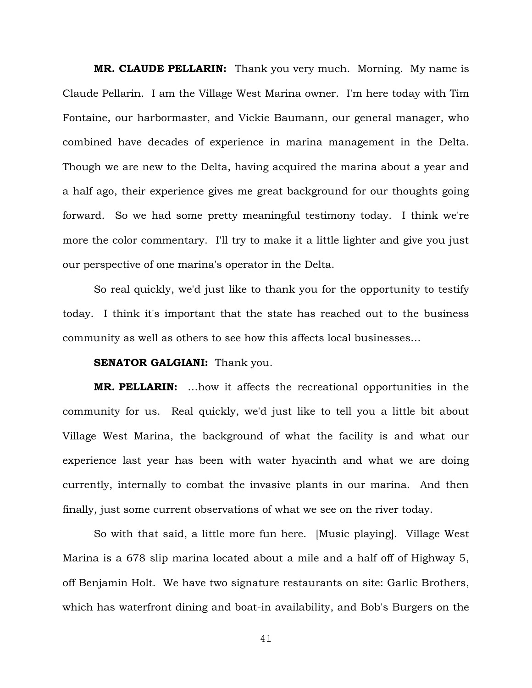**MR. CLAUDE PELLARIN:** Thank you very much. Morning. My name is Claude Pellarin. I am the Village West Marina owner. I'm here today with Tim Fontaine, our harbormaster, and Vickie Baumann, our general manager, who combined have decades of experience in marina management in the Delta. Though we are new to the Delta, having acquired the marina about a year and a half ago, their experience gives me great background for our thoughts going forward. So we had some pretty meaningful testimony today. I think we're more the color commentary. I'll try to make it a little lighter and give you just our perspective of one marina's operator in the Delta.

So real quickly, we'd just like to thank you for the opportunity to testify today. I think it's important that the state has reached out to the business community as well as others to see how this affects local businesses…

# **SENATOR GALGIANI:** Thank you.

**MR. PELLARIN:** …how it affects the recreational opportunities in the community for us. Real quickly, we'd just like to tell you a little bit about Village West Marina, the background of what the facility is and what our experience last year has been with water hyacinth and what we are doing currently, internally to combat the invasive plants in our marina. And then finally, just some current observations of what we see on the river today.

So with that said, a little more fun here. [Music playing]. Village West Marina is a 678 slip marina located about a mile and a half off of Highway 5, off Benjamin Holt. We have two signature restaurants on site: Garlic Brothers, which has waterfront dining and boat-in availability, and Bob's Burgers on the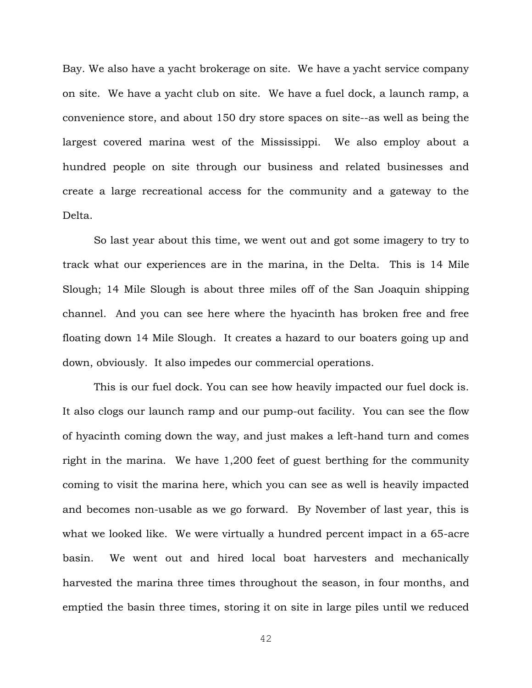Bay. We also have a yacht brokerage on site. We have a yacht service company on site. We have a yacht club on site. We have a fuel dock, a launch ramp, a convenience store, and about 150 dry store spaces on site--as well as being the largest covered marina west of the Mississippi. We also employ about a hundred people on site through our business and related businesses and create a large recreational access for the community and a gateway to the Delta.

So last year about this time, we went out and got some imagery to try to track what our experiences are in the marina, in the Delta. This is 14 Mile Slough; 14 Mile Slough is about three miles off of the San Joaquin shipping channel. And you can see here where the hyacinth has broken free and free floating down 14 Mile Slough. It creates a hazard to our boaters going up and down, obviously. It also impedes our commercial operations.

This is our fuel dock. You can see how heavily impacted our fuel dock is. It also clogs our launch ramp and our pump-out facility. You can see the flow of hyacinth coming down the way, and just makes a left-hand turn and comes right in the marina. We have 1,200 feet of guest berthing for the community coming to visit the marina here, which you can see as well is heavily impacted and becomes non-usable as we go forward. By November of last year, this is what we looked like. We were virtually a hundred percent impact in a 65-acre basin. We went out and hired local boat harvesters and mechanically harvested the marina three times throughout the season, in four months, and emptied the basin three times, storing it on site in large piles until we reduced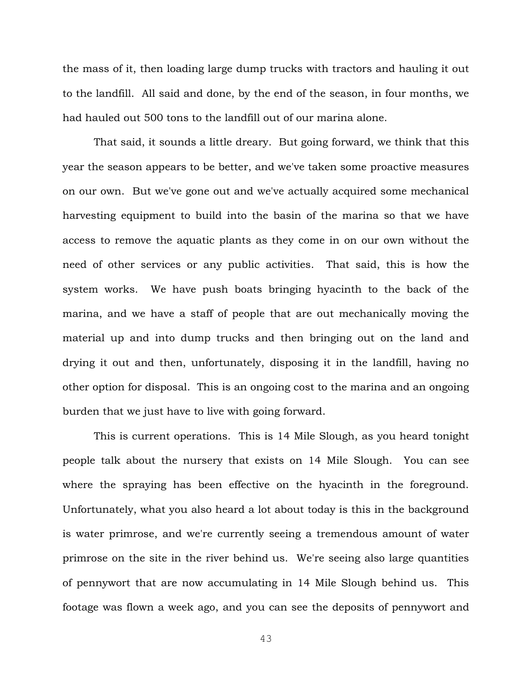the mass of it, then loading large dump trucks with tractors and hauling it out to the landfill. All said and done, by the end of the season, in four months, we had hauled out 500 tons to the landfill out of our marina alone.

That said, it sounds a little dreary. But going forward, we think that this year the season appears to be better, and we've taken some proactive measures on our own. But we've gone out and we've actually acquired some mechanical harvesting equipment to build into the basin of the marina so that we have access to remove the aquatic plants as they come in on our own without the need of other services or any public activities. That said, this is how the system works. We have push boats bringing hyacinth to the back of the marina, and we have a staff of people that are out mechanically moving the material up and into dump trucks and then bringing out on the land and drying it out and then, unfortunately, disposing it in the landfill, having no other option for disposal. This is an ongoing cost to the marina and an ongoing burden that we just have to live with going forward.

This is current operations. This is 14 Mile Slough, as you heard tonight people talk about the nursery that exists on 14 Mile Slough. You can see where the spraying has been effective on the hyacinth in the foreground. Unfortunately, what you also heard a lot about today is this in the background is water primrose, and we're currently seeing a tremendous amount of water primrose on the site in the river behind us. We're seeing also large quantities of pennywort that are now accumulating in 14 Mile Slough behind us. This footage was flown a week ago, and you can see the deposits of pennywort and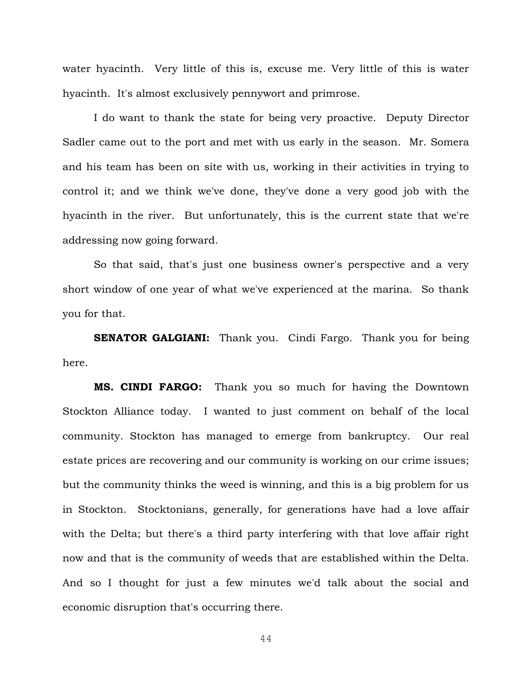water hyacinth. Very little of this is, excuse me. Very little of this is water hyacinth. It's almost exclusively pennywort and primrose.

I do want to thank the state for being very proactive. Deputy Director Sadler came out to the port and met with us early in the season. Mr. Somera and his team has been on site with us, working in their activities in trying to control it; and we think we've done, they've done a very good job with the hyacinth in the river. But unfortunately, this is the current state that we're addressing now going forward.

So that said, that's just one business owner's perspective and a very short window of one year of what we've experienced at the marina. So thank you for that.

**SENATOR GALGIANI:** Thank you. Cindi Fargo. Thank you for being here.

**MS. CINDI FARGO:** Thank you so much for having the Downtown Stockton Alliance today. I wanted to just comment on behalf of the local community. Stockton has managed to emerge from bankruptcy. Our real estate prices are recovering and our community is working on our crime issues; but the community thinks the weed is winning, and this is a big problem for us in Stockton. Stocktonians, generally, for generations have had a love affair with the Delta; but there's a third party interfering with that love affair right now and that is the community of weeds that are established within the Delta. And so I thought for just a few minutes we'd talk about the social and economic disruption that's occurring there.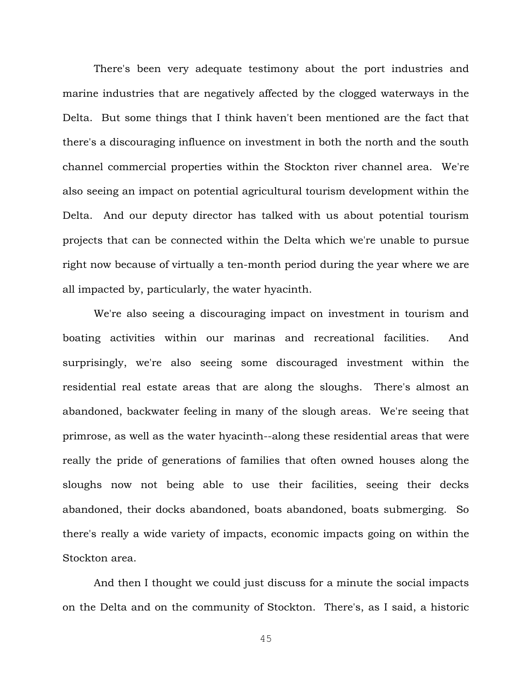There's been very adequate testimony about the port industries and marine industries that are negatively affected by the clogged waterways in the Delta. But some things that I think haven't been mentioned are the fact that there's a discouraging influence on investment in both the north and the south channel commercial properties within the Stockton river channel area. We're also seeing an impact on potential agricultural tourism development within the Delta. And our deputy director has talked with us about potential tourism projects that can be connected within the Delta which we're unable to pursue right now because of virtually a ten-month period during the year where we are all impacted by, particularly, the water hyacinth.

We're also seeing a discouraging impact on investment in tourism and boating activities within our marinas and recreational facilities. And surprisingly, we're also seeing some discouraged investment within the residential real estate areas that are along the sloughs. There's almost an abandoned, backwater feeling in many of the slough areas. We're seeing that primrose, as well as the water hyacinth--along these residential areas that were really the pride of generations of families that often owned houses along the sloughs now not being able to use their facilities, seeing their decks abandoned, their docks abandoned, boats abandoned, boats submerging. So there's really a wide variety of impacts, economic impacts going on within the Stockton area.

And then I thought we could just discuss for a minute the social impacts on the Delta and on the community of Stockton. There's, as I said, a historic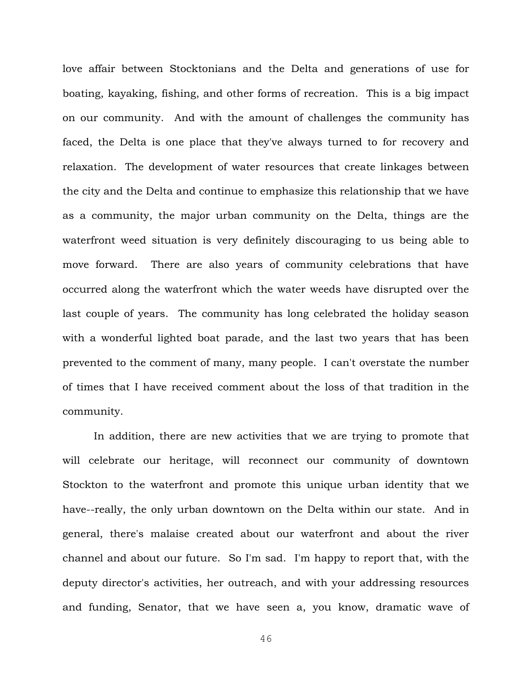love affair between Stocktonians and the Delta and generations of use for boating, kayaking, fishing, and other forms of recreation. This is a big impact on our community. And with the amount of challenges the community has faced, the Delta is one place that they've always turned to for recovery and relaxation. The development of water resources that create linkages between the city and the Delta and continue to emphasize this relationship that we have as a community, the major urban community on the Delta, things are the waterfront weed situation is very definitely discouraging to us being able to move forward. There are also years of community celebrations that have occurred along the waterfront which the water weeds have disrupted over the last couple of years. The community has long celebrated the holiday season with a wonderful lighted boat parade, and the last two years that has been prevented to the comment of many, many people. I can't overstate the number of times that I have received comment about the loss of that tradition in the community.

In addition, there are new activities that we are trying to promote that will celebrate our heritage, will reconnect our community of downtown Stockton to the waterfront and promote this unique urban identity that we have--really, the only urban downtown on the Delta within our state. And in general, there's malaise created about our waterfront and about the river channel and about our future. So I'm sad. I'm happy to report that, with the deputy director's activities, her outreach, and with your addressing resources and funding, Senator, that we have seen a, you know, dramatic wave of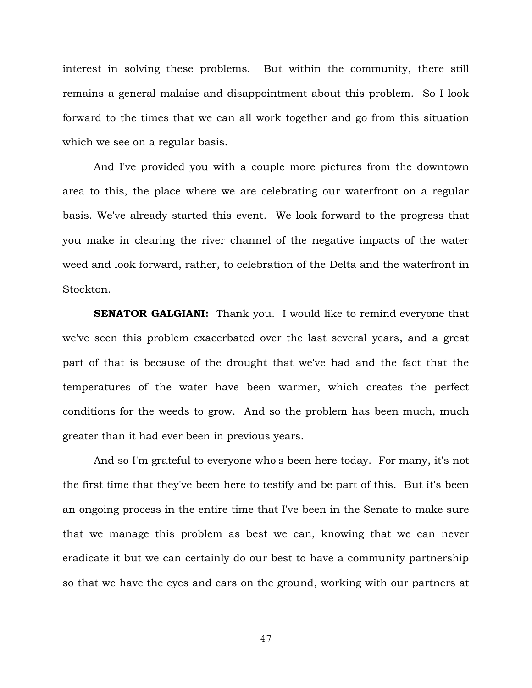interest in solving these problems. But within the community, there still remains a general malaise and disappointment about this problem. So I look forward to the times that we can all work together and go from this situation which we see on a regular basis.

And I've provided you with a couple more pictures from the downtown area to this, the place where we are celebrating our waterfront on a regular basis. We've already started this event. We look forward to the progress that you make in clearing the river channel of the negative impacts of the water weed and look forward, rather, to celebration of the Delta and the waterfront in Stockton.

**SENATOR GALGIANI:** Thank you. I would like to remind everyone that we've seen this problem exacerbated over the last several years, and a great part of that is because of the drought that we've had and the fact that the temperatures of the water have been warmer, which creates the perfect conditions for the weeds to grow. And so the problem has been much, much greater than it had ever been in previous years.

And so I'm grateful to everyone who's been here today. For many, it's not the first time that they've been here to testify and be part of this. But it's been an ongoing process in the entire time that I've been in the Senate to make sure that we manage this problem as best we can, knowing that we can never eradicate it but we can certainly do our best to have a community partnership so that we have the eyes and ears on the ground, working with our partners at